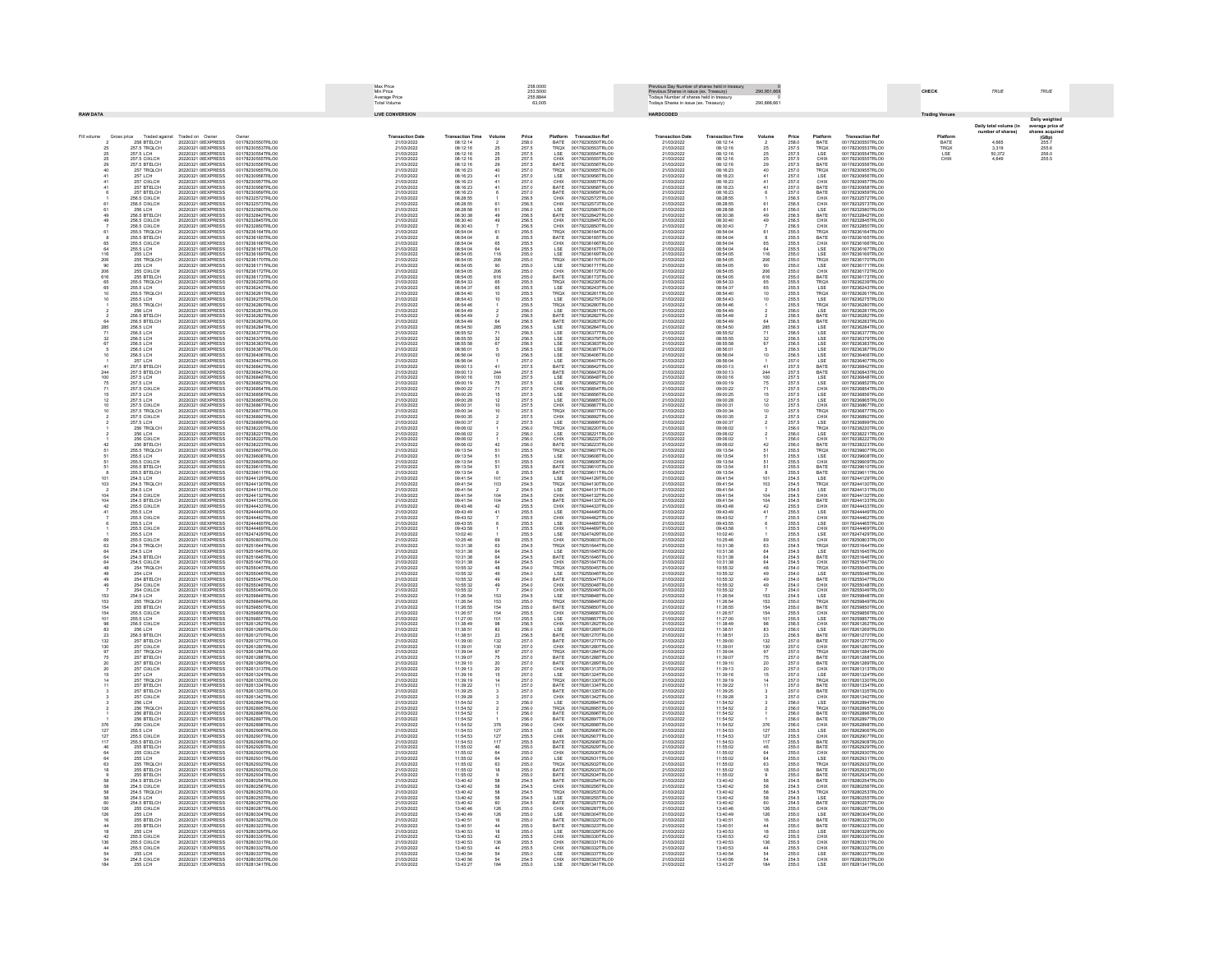|                                                |                                                                     |                                                                                                       | Max Price<br>258,0000<br>Min Price<br>253,5000<br>255.8844<br>Average Price<br>Total Volume                          |  |                                                                    |                                                          |                                                            | us Dav Number of sh<br>Previous Day indition of states from it de<br>Previous Shares in issue (ex. Treasury)<br>Todays Shares in issue (ex. Treasury)<br>Todays Shares in issue (ex. Treasury) | res beld in trea                                   | 290,951,666                                                                                      |                                                                    |                                                          |                                  | CHECK                                     | TRUE                                                               | TRUF                                                                                             |                       |                                                         |                                          |
|------------------------------------------------|---------------------------------------------------------------------|-------------------------------------------------------------------------------------------------------|----------------------------------------------------------------------------------------------------------------------|--|--------------------------------------------------------------------|----------------------------------------------------------|------------------------------------------------------------|------------------------------------------------------------------------------------------------------------------------------------------------------------------------------------------------|----------------------------------------------------|--------------------------------------------------------------------------------------------------|--------------------------------------------------------------------|----------------------------------------------------------|----------------------------------|-------------------------------------------|--------------------------------------------------------------------|--------------------------------------------------------------------------------------------------|-----------------------|---------------------------------------------------------|------------------------------------------|
| <b>RAW DATA</b>                                |                                                                     |                                                                                                       |                                                                                                                      |  | <b>LIVE CONVERSION</b>                                             |                                                          |                                                            | 63,005                                                                                                                                                                                         |                                                    |                                                                                                  | HARDCODED                                                          |                                                          | 290,888,661                      |                                           |                                                                    |                                                                                                  | <b>Trading Venues</b> |                                                         |                                          |
|                                                |                                                                     |                                                                                                       |                                                                                                                      |  |                                                                    |                                                          |                                                            |                                                                                                                                                                                                |                                                    |                                                                                                  |                                                                    |                                                          |                                  |                                           |                                                                    |                                                                                                  |                       | Daily total volume (in                                  | Daily weighted                           |
| Fill volume                                    | Gross price<br>Traded ag                                            | Traded on Own                                                                                         |                                                                                                                      |  | <b>Transaction Dat</b>                                             | <b>Transaction Tim</b>                                   | Volum                                                      |                                                                                                                                                                                                | Platform                                           | <b>Transaction Ref</b>                                                                           | <b>Transaction Date</b>                                            | <b>Transaction Tim</b>                                   | Volum                            |                                           |                                                                    | <b>Transaction Ref</b>                                                                           | Platfor               | ber of sha                                              | rage price of<br>res acquired            |
|                                                | 258 BTELCH<br>257.5 TROLCH<br>257.5 LCH                             | 20220321 01 EXPRESS                                                                                   | 00178230550TRLO0<br>00178230553TRLO0<br>00178230554TRLO0                                                             |  | 21/03/2022<br>21/03/2022                                           | 08:12:14                                                 | 2<br>25<br>25<br>25<br>29<br>40                            | $\begin{array}{l} \textbf{Price} \\ 258.0 \end{array}$                                                                                                                                         | BATE                                               | 00178230550TRLO0<br>00178230553TRLO0<br>00178230554TRLO0                                         | 21/03/2022<br>21/03/2022<br>21/03/2022                             | 08:12:14                                                 | $\frac{2}{25}$<br>25             | <b>Price</b><br>258.0                     | Platform<br>BATE<br>TROX<br>LSE                                    | 00178230550TRLO0<br>00178230553TRLO0<br>00178230554TRLO0                                         | BATE                  | $\begin{array}{c} 4,665 \\ 3,319 \\ 50,372 \end{array}$ | $(GBp)$<br>$255.7$<br>$255.6$<br>$256.0$ |
| $\frac{25}{25}$<br>$\frac{25}{29}$             | 257.5 CIXLCH                                                        | 20220321 0I EXPRESS<br>20220321 0IEXPRESS                                                             | 00178230555TRLOC                                                                                                     |  | 21/03/2022<br>21/03/2022                                           | 08:12:16<br>08:12:16<br>08:12:16                         |                                                            | 257.5<br>257.5<br>257.5<br>257.5                                                                                                                                                               | TRQX<br>LSE<br>CHIX<br>BATE                        | 00178230555TRLO                                                                                  | 21/03/2022                                                         | 08:12:16<br>08:12:16<br>08:12:16                         | $\frac{25}{29}$                  | 257.5<br>257.5<br>257.5<br>257.5          | CHIX<br>BATE                                                       | 00178230555TRLO0                                                                                 | TRQX<br>LSE<br>CHIX   | 4,649                                                   | 255.5                                    |
| 40                                             | 257.5 BTELCH<br>257 TROLCH                                          | 20220321 0I EXPRESS<br>20220321 0I EXPRESS                                                            | 00178230556TRLOC<br>00178230955TRLOD                                                                                 |  | 21/03/2022<br>21/03/2022                                           | 08:12:16<br>08:16:23                                     |                                                            | 257.0                                                                                                                                                                                          | TRQX                                               | 00178230556TRLO<br>00178230955TRLO0                                                              | 21/03/2022<br>21/03/2022                                           | 08:12:16<br>08:16:23                                     |                                  | 257.0                                     |                                                                    | 00178230556TRLO0<br>00178230955TRLO0                                                             |                       |                                                         |                                          |
|                                                | 257 LCH<br>257 CIXLCH                                               | 20220321 01 EXPRESS<br>20220321 01 EXPRESS                                                            | 00178230956TRLOD<br>00178230957TRLOD                                                                                 |  | 21/03/2022<br>21/03/2022                                           | 08:16:23                                                 | $\frac{41}{41}$                                            | 257.0<br>257.0<br>257.0<br>257.0<br>256.5                                                                                                                                                      | LSE<br>CHIX                                        | 00178230956TRLOO<br>00178230957TRLOO                                                             | 21/03/2022<br>21/03/2022                                           | 08:16:23<br>08:16:23                                     |                                  | 257.0<br>257.0                            |                                                                    | 00178230956TRLOO<br>00178230957TRLOO                                                             |                       |                                                         |                                          |
|                                                | 257 BTELCH<br>257 BTELCH                                            | 20220321 0 EXPRESS                                                                                    | 001782309571RLO<br>00178230958TRLO<br>00178230959TRLO<br>00178232572TRLO0                                            |  | 21/03/2022<br>21/03/2022<br>21/03/2022                             | ua.16.23<br>08:16:23<br>08:16:23                         |                                                            |                                                                                                                                                                                                | BATE<br>BATE<br>CHIX                               | 00178230957TRLCO<br>00178230958TRLCO<br>00178232572TRLCO                                         | 21/03/2022<br>21/03/2022<br>21/03/2022                             | 08:16:23<br>08:16:23<br>08:16:23<br>08:28:55             |                                  | 257.0<br>257.0<br>256.5                   |                                                                    | 00178230957TRLO0<br>00178230959TRLO0<br>00178232572TRLO0                                         |                       |                                                         |                                          |
|                                                | 256.5 CIXLCH<br>256.5 CIXLCH<br>256 LCH                             | 20220321 0I EXPRESS<br>20220321 0I EXPRESS<br>20220321 0I EXPRESS                                     | 00178232573TRLOO<br>00178232580TRLOC                                                                                 |  | 21/03/2022<br>21/03/2022<br>21/03/2022                             | 08:28:55<br>08:28:55<br>08:28:58                         |                                                            | 256.5<br>256.0                                                                                                                                                                                 | CHIX<br>LSE                                        | 00178232573TRLO0<br>00178232580TRLOO                                                             | 21/03/2022<br>21/03/2022                                           | 08:28:55<br>08:28:58                                     |                                  | 256.5<br>256.0                            | TRQX<br>LSE<br>CHIX<br>BATE<br>BATE<br>CHIX<br>CHIX<br>CHIX<br>LSE | 00178232573TRLO0<br>00178232580TRLO0                                                             |                       |                                                         |                                          |
|                                                | 256.5 BTELCH<br>256.5 CIXLCH                                        | 20220321 0I EXPRESS<br>20220321 0LEXPRESS                                                             | 00178232842TRLOD<br>00178232845TRLOD                                                                                 |  | 21/03/2022<br>21/03/2022                                           | 08:30:38<br>08:30:40                                     |                                                            |                                                                                                                                                                                                | BATE<br>CHIX                                       | 00178232842TRLO0<br>00178232845TRLOO                                                             | 21/03/2022<br>21/03/2022                                           | 08:30:38<br>08:30:40                                     |                                  | 256.5<br>256.5                            | BATE<br>CHIX                                                       | 00178232842TRLO0<br>00178232845TRLOO                                                             |                       |                                                         |                                          |
|                                                | 256.5 CIXLCH<br>256.5 TRQLCH<br>255.5 BTELCH                        | 20220321 0LEXPRESS<br>20220321 01 EXPRESS<br>20220321 01 EXPRESS<br>20220321 01 EXPRESS               | 00178232850TRLOC                                                                                                     |  | 21/03/2022<br>21/03/2022<br>21/03/2022                             | 08:30:43<br>08:54:04<br>08:54:04                         |                                                            | 256.5<br>256.5<br>256.5<br>255.5<br>255.5                                                                                                                                                      | CHIX                                               | 00178232850TRLO0                                                                                 |                                                                    |                                                          |                                  | 256.5<br>256.5<br>255.5                   |                                                                    | 00178232850TRLOO                                                                                 |                       |                                                         |                                          |
|                                                |                                                                     | 20220321 0I EXPRESS                                                                                   | 00178236164TRLO0<br>00178236165TRLO0<br>00178236165TRLO0<br>00178236166TRLO0                                         |  | 21/03/2022                                                         |                                                          |                                                            | 255.5                                                                                                                                                                                          | TROX<br>BATE                                       | 001782326301RECO<br>00178236164TRLO0<br>00178236165TRLO0<br>00178236166TRLO0                     | 21/03/2022<br>21/03/2022<br>21/03/2022<br>21/03/2022<br>21/03/2022 | 08:30:43<br>08:54:04<br>08:54:04<br>08:54:04<br>08:54:04 |                                  |                                           | CHIX<br>TROX<br>BATE<br>CHIX<br>LSE<br>LSE                         | 001782326061RLO0<br>00178236165TRLO0<br>00178236165TRLO0<br>00178236166TRLO0                     |                       |                                                         |                                          |
| 116                                            | 255.5 CIXLCH<br>255.5 LCH<br><b>255 LCH</b>                         | 20220321 0I EXPRESS<br>20220321 0I EXPRESS                                                            | 00178236167TRLOC<br>00178236169TRLOD                                                                                 |  | 21/03/2022<br>21/03/2022                                           | 08:54:04<br>08:54:04<br>08:54:05                         | 116                                                        | 255.5<br>255.0                                                                                                                                                                                 | CHIX<br>LSE<br>LSE                                 | 00178236167TRLO<br>00178236169TRLO0                                                              | 21/03/2022<br>21/03/2022                                           | 08:54:05                                                 | 116                              | 255.5<br>255.5<br>255.0                   |                                                                    | 00178236167TRLO0<br>00178236169TRLO0                                                             |                       |                                                         |                                          |
| 206<br>90                                      | 255 TROLCH<br><b>255 LCH</b>                                        | 20220321 0LEXPRESS<br>20220321 0LEXPRESS                                                              | 00178236170TRLOC<br>00178236171TRLOD                                                                                 |  | 21/03/2022<br>21/03/2022                                           | 08:54:05<br>08:54:05                                     | $\frac{206}{90}$                                           | 255.0<br>255.0                                                                                                                                                                                 | TRQX<br>LSE                                        | 00178236170TRLO0<br>00178236171TRLOO                                                             | 21/03/2022<br>21/03/2022                                           | 08:54:05<br>08:54:05                                     | $\frac{206}{90}$                 | 255.0<br>255.0                            | TRQX<br>LSE                                                        | 00178236170TRLO0<br>00178236171TRLOO                                                             |                       |                                                         |                                          |
| 206<br>616                                     | 255 CIXLCH<br>255 BTELCH<br>255.5 TROLCH                            | 20220321 0 EXPRESS<br>20220321 0 EXPRESS<br>20220321 0IEXPRESS                                        | 00178236172TRLOD<br>00178236173TRLOD<br>00178236239TRLOC                                                             |  | 21/03/2022<br>21/03/2022<br>21/03/2022                             | 08:54:05<br>08:54:05<br>08:54:33                         | 206<br>616                                                 | 255.0<br>255.0<br>255.5                                                                                                                                                                        | CHIX<br>BATE                                       | 00178236172TRLOO<br>00178236173TRLOO<br>00178236239TRLOO                                         | 21/03/2022<br>21/03/2022<br>21/03/2022                             | 08:54:05<br>08:54:05<br>08:54:33                         | 206<br>616                       | 255.0<br>255.0<br>255.5                   | CHIX<br>BATE<br>TRQX<br>LSE<br>TRQX                                | 00178236172TRLOO<br>00178236173TRLOO<br>00178236239TRLOO                                         |                       |                                                         |                                          |
| 65                                             | 255.5 LCH<br>255.5 TRQLCH                                           | 20220321 0IEXPRESS<br>20220321 0I EXPRESS                                                             | 00178236243TRLOO<br>00178236261TRLOC                                                                                 |  | 21/03/2022<br>21/03/2022                                           | 08:54:37<br>08:54:40                                     |                                                            | 255.5<br>255.5                                                                                                                                                                                 | TRQX<br>LSE<br>TRQX                                | 00178236243TRLOO<br>00178236261TRLOO                                                             | 21/03/2022<br>21/03/2022                                           | 08:54:37<br>08:54:40                                     |                                  | 255.5<br>255.5                            |                                                                    | 00178236243TRLO0<br>00178236261TRLO0                                                             |                       |                                                         |                                          |
|                                                | 255.5 LCH<br>255.5 TRQLCH                                           | 20220321 0LEXPRESS<br>20220321 0I EXPRESS                                                             | 00178236275TRLOD<br>00178236280TRLOD                                                                                 |  | 21/03/2022<br>21/03/2022                                           | 08:54:43<br>08:54:46                                     |                                                            | 255.5<br>255.5                                                                                                                                                                                 | LSE<br>TRQX                                        | 00178236275TRLO0<br>00178236280TRLO0                                                             | 21/03/2022<br>21/03/2022                                           | 08:54:43<br>08:54:46                                     |                                  | 255.5<br>255.5                            | LSE<br>TRQX                                                        | 00178236275TRLO0<br>00178236280TRLOO                                                             |                       |                                                         |                                          |
|                                                | 256 LCH                                                             | 20220321 0LEXPRESS<br>20220321 0 EXPRESS                                                              | 00178236281TRLOC                                                                                                     |  | 21/03/2022                                                         | 08:54:49                                                 |                                                            | 256.0                                                                                                                                                                                          | <b>ISE</b><br>BATE<br>BATE                         | 00178236281TRLO0<br>00178236282TRLOO                                                             | 21/03/2022                                                         | 08:54:49                                                 |                                  | 256.0                                     | LSE                                                                | 00178236281TRLO0<br>00178236282TRLOO                                                             |                       |                                                         |                                          |
|                                                | 256.5 BTELCH<br>256.5 BTELCH<br>256.5 LCH<br>256.5 LCH<br>256.5 LCH | 20220321 01 EXPRESS<br>20220321 01 EXPRESS<br>20220321 01 EXPRESS                                     |                                                                                                                      |  | 21/03/2022<br>21/03/2022<br>21/03/2022<br>21/03/2022<br>21/03/2022 | 08:54:49<br>08:54:49<br>08:54:49<br>08:55:52<br>08:55:52 | 64                                                         | 256.5<br>256.5<br>256.5<br>256.5                                                                                                                                                               |                                                    |                                                                                                  | 21/03/2022<br>21/03/2022<br>21/03/2022<br>21/03/2022<br>21/03/2022 | 08:54:49<br>08:54:49<br>08:54:50<br>08:55:52             | 64<br>285<br>71                  | 256.5<br>256.5<br>256.5<br>256.5          |                                                                    | 001782362831RLOU<br>00178236284TRLOU<br>00178236377TRLOU                                         |                       |                                                         |                                          |
| 285<br>71<br>32                                | 256.5 LCH                                                           | 20220321 0I EXPRESS                                                                                   | 001782362811RLO0<br>00178236282TRLO0<br>00178236283TRLO0<br>00178236284TRLO0<br>00178236377TRLO0<br>00178236379TRLO0 |  | 21/03/2022                                                         | 08:55:55                                                 | 285<br>71<br>32<br>67                                      | 256.5                                                                                                                                                                                          | LSE<br>LSE<br>LSE                                  | 001782362831RLO0<br>00178236284TRLO0<br>00178236377TRLO0<br>00178236379TRLO0                     | 21/03/2022                                                         | 08:55:55                                                 |                                  | 256.5                                     | <b>BATE</b><br>BATE<br>LSE<br>LSE<br>LSE<br>LSE<br>LSE             | 00178236379TRLO0                                                                                 |                       |                                                         |                                          |
| 67                                             | 256.5 LCH<br>256.5 LCH                                              | 20220321 0LEXPRESS<br>20220321 0I EXPRESS<br>20220321 0LEXPRESS                                       | 00178236383TRLOD<br>00178236387TRLOD<br>00178236406TRLOC                                                             |  | 21/03/2022<br>21/03/2022<br>21/03/2022                             | 08:55:58<br>08:56:01<br>08:56:04                         |                                                            | 256.5<br>256.5                                                                                                                                                                                 | LSE<br>LSE                                         | 00178236383TRLO0<br>00178236387TRLO0<br>00178236406TRLO0                                         | 21/03/2022<br>21/03/2022<br>21/03/2022                             | 08:55:58<br>08:56:01<br>08:56:04                         | 67                               | 256.5<br>256.5                            |                                                                    | 00178236383TRLO0<br>00178236387TRLOD<br>00178236406TRLO0                                         |                       |                                                         |                                          |
| 10                                             | 256.5 LCH<br>257 LCH                                                | 20220321 0LEXPRESS                                                                                    | 00178236407TRLOC                                                                                                     |  | 21/03/2022                                                         | 08:56:04                                                 | 10                                                         | 256.5<br>257.0                                                                                                                                                                                 | LSE<br>LSE                                         | 00178236407TRLO0                                                                                 | 21/03/2022                                                         | 08:56:04                                                 |                                  | 256.5<br>257.0                            | LSE<br>LSE                                                         | 00178236407TRLO0                                                                                 |                       |                                                         |                                          |
| 244<br>100                                     | 257.5 BTELCH<br>257.5 BTELCH<br>257.5 LCH                           | 2022032101EXPRESS<br>2022032101EXPRESS<br>2022032101EXPRESS                                           | 00178236842TRLOO<br>00178236843TRLOO<br>00178236848TRLOO                                                             |  | 21/03/2022<br>21/03/2022<br>21/03/2022                             | 09:00:13<br>09:00:13<br>09:00:16                         | $\frac{41}{244}$                                           | 257.5<br>257.5<br>257.5                                                                                                                                                                        | BATE<br>BATE<br>LSE<br>LSE<br>CHIX                 | 00178236842TRLO0<br>00178236843TRLO0<br>00178236848TRLO0                                         | 21/03/2022<br>21/03/2022<br>21/03/2022                             | 08.00.04<br>09:00:13<br>09:00:18                         | 244<br>100                       | 257.5<br>257.5<br>257.5                   | BATE<br>BATE<br>LSE<br>LSE<br>CHIX                                 | 00178236842TRLO0<br>00178236843TRLO0<br>00178236848TRLO0                                         |                       |                                                         |                                          |
| $75$<br>$71$                                   | 257.5 LCH<br>257.5 CIXLCH                                           | 20220321 0! EXPRESS<br>20220321 0! EXPRESS                                                            | 00178236852TRLO0<br>00178236854TRLO0                                                                                 |  | 21/03/2022<br>21/03/2022                                           | 09:00:19<br>09:00:22                                     | $^{75}_{71}$                                               | 257.5<br>257.5                                                                                                                                                                                 |                                                    | 00178236852TRLO0<br>00178236854TRLO0                                                             | 21/03/2022<br>21/03/2022                                           | 09:00:19<br>09:00:22                                     |                                  | 257.5<br>257.5                            |                                                                    | 00178236852TRLO0<br>00178236854TRLO0                                                             |                       |                                                         |                                          |
|                                                | 257.5 LCH<br>257.5 LCH                                              | 20220321 0! EXPRESS<br>20220321 0LEXPRESS                                                             | 00178236856TRLOO<br>00178236865TRLOC                                                                                 |  | 21/03/2022<br>21/03/2022                                           | 09:00:25<br>09:00:28                                     | 16<br>$\frac{12}{10}$                                      | 257.5                                                                                                                                                                                          | LSE<br>LSE<br>CHIX                                 | 00178236856TRLO0<br>00178236865TRLO0                                                             | 21/03/2022<br>21/03/2022                                           | 09:00:25<br>09:00:28                                     |                                  | 257.5                                     | LSE<br>LSE                                                         | 00178236856TRLO0<br>00178236865TRLO0                                                             |                       |                                                         |                                          |
|                                                | 257.5 CIXI CH                                                       | 20220321 0LEXPRESS                                                                                    | 00178236867TRLOO                                                                                                     |  | 21/03/2022                                                         | 09:00:31                                                 |                                                            | 257.5<br>257.5<br>257.5<br>257.5                                                                                                                                                               |                                                    | 00178236867TRLOO                                                                                 | 21/03/2022                                                         | 09:00:31                                                 |                                  | 257.5<br>257.5<br>257.5<br>257.5<br>257.5 | CHIX                                                               | 00178236867TRLOC                                                                                 |                       |                                                         |                                          |
|                                                | 257.5 CIXLCH<br>257.5 TRQLCH<br>257.5 CIXLCH<br>257.5 LCH           | 20220321 0 EXPRESS<br>20220321 0 EXPRESS<br>20220321 0 EXPRESS                                        | 001782368071RLCO<br>00178236892TRLCO<br>00178236899TRLCO                                                             |  | 21/03/2022<br>21/03/2022<br>21/03/2022                             | 09:00:34<br>09:00:34<br>09:00:35                         |                                                            | 257.5                                                                                                                                                                                          | TRQX<br>CHIX<br>LSE                                | 001782368677TRLOO<br>00178236892TRLOO<br>00178236899TRLOO                                        | 21/03/2022<br>21/03/2022<br>21/03/2022                             | 09:00:34<br>09:00:34<br>09:00:35<br>09:00:37             |                                  |                                           | TROX<br>CHIX<br>LSE<br>TROX<br>LSE                                 | 00178236867TRLO0<br>00178236892TRLO0<br>00178236899TRLO0                                         |                       |                                                         |                                          |
|                                                | 256 TRQLCH<br>256 LCH                                               | 20220321 0! EXPRESS<br>20220321 0! EXPRESS                                                            | 00178238220TRLOC<br>00178238221TRLOC                                                                                 |  | 21/03/2022<br>21/03/2022                                           | 09:06:02<br>09:06:02                                     |                                                            | 256.0<br>256.0                                                                                                                                                                                 | TRQX<br>LSE                                        | 00178238220TRLO<br>00178238221TRLOO                                                              | 21/03/2022<br>21/03/2022                                           | 09:06:02<br>09:06:02                                     |                                  | 256.0<br>256.0                            |                                                                    | 00178238220TRLO0<br>00178238221TRLO0                                                             |                       |                                                         |                                          |
|                                                | 256 CIXLCH<br>256 BTELCH                                            | 20220321 0! EXPRESS<br>20220321 0! EXPRESS<br>20220321 0LEXPRESS                                      | 00178238222TRLOD<br>00178238223TRLOD<br>00178239607TRLOD                                                             |  | 21/03/2022<br>21/03/2022<br>21/03/2022                             | 09:06:02<br>09:06:02<br>09:13:54                         | 42                                                         | 256.0<br>256.0                                                                                                                                                                                 | CHIX<br>BATE<br>TROX                               | 00178238222TRLO0<br>00178238223TRLO0<br>00178239607TRLOO                                         | 21/03/2022<br>21/03/2022<br>21/03/2022                             | 09:06:02<br>09:06:02<br>09:13:54                         | 42                               | 256.0<br>256.0                            | CHIX<br>BATE                                                       | 00178238222TRLO0<br>00178238223TRLO0<br>00178239607TRLOO                                         |                       |                                                         |                                          |
|                                                | 255.5 TRQLCH<br>255.5 LCH<br>255.5 CIXLCH                           | 20220321 01 EXPRESS<br>20220321 01 EXPRESS                                                            | 001782396071RLO<br>00178239608TRLO                                                                                   |  | 21/03/202<br>21/03/202 <mark>:</mark><br>21/03/202:                | 09.13.04<br>09:13:54<br>09:13:54                         |                                                            | 255.5<br>255.5<br>255.5                                                                                                                                                                        |                                                    | 00178239608TRLO                                                                                  | 21/03/2022<br>21/03/2022<br>21/03/2022                             | 09:13:54<br>09:13:54<br>09:13:54                         |                                  | 255.5<br>255.5<br>255.5                   | TRQX<br>LSE<br>CHIX<br>BATE<br>BATE                                | 001782390071REOL<br>00178239608TRLOL<br>00178239609TRLOL                                         |                       |                                                         |                                          |
| 51                                             | 255.5 BTELCH<br>255.5 BTELCH                                        | 20220321 0! EXPRESS<br>20220321 0! EXPRESS                                                            | 00178239610TRLO0<br>00178239611TRLO0                                                                                 |  | 21/03/2022<br>21/03/2022                                           | 09:13:54<br>09:13:54                                     |                                                            | 255.5<br>255.5                                                                                                                                                                                 | LSE<br>LSE<br>CHIX<br>BATE<br>BATE                 | 00178239610TRLOO                                                                                 | 21/03/2022<br>21/03/2022                                           | 09:13:54<br>09:13:54                                     |                                  | 255.5<br>255.5                            |                                                                    | 00178239610TRLOO<br>00178239611TRLO0                                                             |                       |                                                         |                                          |
| 101<br>$\begin{array}{c} 103 \\ 2 \end{array}$ | 254.5 LCH<br>254.5 TROLCH                                           | 20220321 0! EXPRESS<br>20220321 0 EXPRESS                                                             | 00178244129TRLOO<br>00178244130TRLOD                                                                                 |  | 21/03/2022<br>21/03/2022                                           | 09:41:54<br>09:41:54                                     | 10 <sub>1</sub><br>$\begin{array}{c} 103 \\ 2 \end{array}$ | 254.5                                                                                                                                                                                          | LSE<br>TRQX                                        | 00178244129TRLO0<br>00178244130TRLO0                                                             | 21/03/2022<br>21/03/2022                                           | 09:41:54<br>09:41:54                                     | 101<br>103                       | 254.5<br>254.5                            | LSE                                                                | 00178244129TRLO0<br>00178244130TRLO0                                                             |                       |                                                         |                                          |
|                                                | 254.5 LCH                                                           | 20220321 0! EXPRESS<br>20220321 0FXPRESS                                                              | 00178244131TRLOC<br>00178244132TRLO0                                                                                 |  | 21/03/2022<br>21/03/2022                                           | 09:41:54<br>09:41:54<br>09:41:54                         |                                                            | $\frac{254.5}{254.5}$                                                                                                                                                                          | LSE<br>CHIX<br>BATE                                | 00178244131TRLOO<br>00178244132TRLO0                                                             | 21/03/2022<br>21/03/2022                                           | 09:41:54<br>09:41:54<br>09:41:54                         | $104$<br>$104$                   | 254.5                                     | TRQX<br>LSE<br>CHIX<br>BATE                                        | 00178244131TRLOO<br>00178244132TRLOO                                                             |                       |                                                         |                                          |
| 104<br>104<br>42                               | 254.5 CIXLCH<br>254.5 BTELCH<br>255.5 CIXLCH<br>255.5 CIXLCH        | 20220321 0LEXPRESS<br>20220321 0 EXPRESS                                                              | 00178244133TRLO0<br>00178244433TRLOC                                                                                 |  | 21/03/2022<br>21/03/2022                                           | 09:43:48                                                 | $104$<br>$104$<br>$42$<br>$41$                             | 254.5<br>254.5<br>255.5                                                                                                                                                                        |                                                    | 00178244133TRLO0<br>00178244433TRLOO                                                             | 21/03/2023<br>21/03/2022                                           | 09:43:48                                                 |                                  | 254.5<br>254.5<br>255.5                   |                                                                    | 00178244133TRLOC<br>00178244433TRLOO                                                             |                       |                                                         |                                          |
|                                                | 255.5 LCH<br>255.5 CIXLCH                                           | 20220321 0! EXPRESS<br>20220321 0! EXPRESS                                                            | 00178244449TRLC0<br>00178244462TRLC0                                                                                 |  | 21/03/2022<br>21/03/2022                                           | 09:43:49<br>09:43:52                                     |                                                            | 255.5<br>255.5                                                                                                                                                                                 | CHIX<br>LSE<br>CHIX<br>LSE<br>CHIX                 | 00178244449TRLO0<br>00178244462TRLO0                                                             | 21/03/2022<br>21/03/2022                                           | 09:43:49<br>09:43:52                                     |                                  | 255.5<br>255.5                            | CHIX<br>LSE<br>CHIX<br>LSE<br>CHIX                                 | 00178244449TRLO0<br>00178244462TRLO0                                                             |                       |                                                         |                                          |
|                                                | 255.5 LCH<br>255.5 CIXLCH<br>255.5 LCH                              | 20220321 0! EXPRESS<br>20220321 0! EXPRESS<br>20220321 1(EXPRESS                                      | 00178244465TRLOO<br>00178244469TRLOC<br>00178247429TRLOD                                                             |  | 21/03/2022<br>21/03/2022<br>21/03/2022                             | 09:43:55<br>09:43:58<br>10:02:40                         |                                                            | 255.5<br>255.5<br>255.5                                                                                                                                                                        | LSE                                                | 00178244465TRLO<br>00178244469TRLO0<br>00178247429TRLO0                                          | 21/03/2022<br>21/03/2022<br>21/03/2022                             | 09:43:55<br>09:43:58<br>10:02:40                         |                                  | 255.5<br>255.5<br>255.5                   |                                                                    | 00178244465TRLO0<br>00178244469TRLO0<br>00178247429TRLO0                                         |                       |                                                         |                                          |
| ă                                              | 255.5 CIXLCH<br>254.5 TRQLCH                                        | 20220321 1(EXPRESS<br>20220321 1(EXPRESS                                                              | 00178250803TRLOD<br>00178251644TRLOD                                                                                 |  | 21/03/2022<br>21/03/2022                                           | 10:25:46<br>10:31:38                                     |                                                            | 255.5<br>254.5<br>254.5<br>254.5<br>254.5                                                                                                                                                      | CHIX<br>TRQX                                       | 00178250803TRLOO<br>00178251644TRLOO                                                             | 21/03/2022<br>21/03/2022                                           | 10:25:46<br>10:31:38<br>10:31:38<br>10:31:38             | 63                               |                                           | LSE<br>CHIX<br>TRQX<br>LSE<br>BATE<br>CHIX                         | 00178250803TRLOO<br>00178251644TRLOO                                                             |                       |                                                         |                                          |
|                                                | 204.0 TRULUM<br>254.5 LCH<br>254.5 BTELCH                           |                                                                                                       | 00178251644TRLCO<br>00178251646TRLCO<br>00178251646TRLCO                                                             |  | 21/03/2022<br>21/03/2022                                           | 10:31:38<br>10:31:38<br>10:31:38                         | 69<br>63<br>64<br>64<br>64                                 |                                                                                                                                                                                                | LSE<br>BATE<br>CHIX                                | 00178251644TRLCO<br>00178251646TRLCO<br>00178251647TRLCO                                         | 21/03/2022<br>21/03/2022<br>21/03/2022                             |                                                          |                                  | 255.5<br>254.5<br>254.5<br>254.5<br>254.5 |                                                                    | 001782516441NLOL<br>00178251645TRLOL<br>00178251646TRLOL                                         |                       |                                                         |                                          |
| $rac{48}{49}$                                  | 254.5 CIXLCH<br>254 TRQLCH<br>254 LCH                               | 20220321 1(EXPRESS<br>20220321 1(EXPRESS                                                              | 00178255045TRLOD                                                                                                     |  | 21/03/2022<br>21/03/2022                                           | 10:31:38<br>10:55:32                                     |                                                            | $254.0$<br>$254.0$                                                                                                                                                                             | TRQX<br>LSE                                        | 00178255045TRLO0                                                                                 | 21/03/2022<br>21/03/2022                                           | 10:31:38<br>10:55:32                                     |                                  | 254.0<br>254.0                            | TRQX<br>LSE                                                        | 00178251647TRLO0<br>00178255045TRLO0                                                             |                       |                                                         |                                          |
| 46                                             | 254 RTFLCH                                                          | 20220321 1(EXPRESS<br>20220321 1(EXPRESS                                                              | 00178255046TRLOD<br>00178255047TRLOC                                                                                 |  | 21/03/2022<br>21/03/2022                                           | 10:55:32<br>10:55:32                                     | $^{49}_{49}$                                               | 254.0<br>254.0                                                                                                                                                                                 | <b>BATE</b>                                        | 00178255046TRLO0<br>00178255047TRLO0                                                             | 21/03/2022<br>21/03/2022                                           | 10:55:32<br>10:55:32                                     | $rac{49}{49}$                    | 254.0<br>254.0                            | <b>BATE</b>                                                        | 00178255046TRLOO<br>00178255047TRLO0                                                             |                       |                                                         |                                          |
| 49                                             | 254 CIXI CH                                                         | 20220321 1(EXPRESS<br>20220321 1(EXPRESS                                                              | 00178255048TRLOC<br>00178255040TDLO0                                                                                 |  | 21/03/2022                                                         | 10:55:32<br>10:55:32<br>10:55:32<br>11:26:54             |                                                            | 254.0<br>254.6<br>255.0                                                                                                                                                                        | CHIX                                               | 00178255048TRLO0<br>00178255049TRLO                                                              | 21/03/2022                                                         | 10:55:32<br>10:55:32<br>11:26:54<br>11:26:54             |                                  |                                           | CHIX<br>CHIX<br>LSE<br>TRQX<br>BATE<br>CHIX<br>LSE                 | 00178255048TRLO0<br>00178255049TRLOO                                                             |                       |                                                         |                                          |
|                                                | 254 CIXLCH<br>254 S LCH<br>255 TRQLCH<br>255 BTELCH<br>255 BTELCH   | 20220321 11 EXPRESS<br>20220321 1 EXPRESS<br>20220321 1 EXPRESS<br>20220321 1 EXPRESS                 | 001782550491RLOL<br>00178259848TRLOL<br>00178259849TRLOL<br>00178259850TRLOO                                         |  | 21/03/2022<br>21/03/2022<br>21/03/2022<br>21/03/2022               | 11:26:55                                                 | $153$<br>$153$<br>$154$<br>$154$                           | 255.0                                                                                                                                                                                          |                                                    | 00178259848TRLO0<br>00178259848TRLO0<br>00178259849TRLO0                                         | 21/03/2022<br>21/03/2022<br>21/03/2022<br>21/03/2022<br>21/03/2022 |                                                          | 153<br>153                       | 254.0<br>254.5<br>255.0                   |                                                                    | 001782550491RLOD<br>00178259848TRLOD<br>00178259849TRLOD<br>00178259850TRLO0                     |                       |                                                         |                                          |
| 153<br>153<br>154<br>154<br>101                | 255.5 CIXLCH<br>255.5 LCH                                           | 20220321 1 EXPRESS<br>20220321 1 EXPRESS                                                              | 00178259856TRLOC<br>00178259857TRLOD                                                                                 |  | 21/03/2022<br>21/03/2022                                           | 11:26:57<br>11:27:00                                     | 101                                                        | 255.5<br>255.5                                                                                                                                                                                 | CHIX<br>CHIX<br>LSE<br>TROX<br>BATE<br>CHIX<br>LSE | 00178259856TRLO<br>00178259857TRLO0                                                              | 21/03/2022<br>21/03/2022                                           | 11:26:55<br>11:26:57<br>11:27:00                         | 154<br>154<br>101                | 255.0<br>255.5<br>255.5                   |                                                                    | 00178259856TRLO0<br>00178259857TRLO0                                                             |                       |                                                         |                                          |
| $rac{98}{83}$                                  | 256 S CIXI CH<br>256 LCH                                            | 20220321 1: EXPRESS<br>20220321 1: EXPRESS                                                            | 00178261262TRLOC<br>00178261269TRLOC                                                                                 |  | 21/03/2022<br>21/03/2022                                           | 1:38:49<br>11:38:51                                      | $\frac{98}{83}$                                            | 256.5<br>256.0                                                                                                                                                                                 | CHIX<br>LSE                                        | 00178261262TRLO0<br>00178261269TRLOO                                                             | 21/03/2022<br>21/03/2022                                           | 11:38:49<br>11:38:51                                     | $rac{98}{83}$                    | 256.5<br>256.0                            | CHIX<br>LSE<br>BATE<br>BATE<br>CHIX<br>TRQX<br>BATE                | 00178261262TRLO0<br>00178261269TRLOO                                                             |                       |                                                         |                                          |
| 23<br>132<br>130<br>97<br>75                   | 256.5 BTELCH<br>257 BTELCH<br>257 CIXLCH                            | 20220321 1'EXPRESS                                                                                    | 001782612091RECO<br>00178261277TRLO0<br>00178261280TRLO0                                                             |  | 21/03/2022<br>21/03/2022                                           | 11:38:51<br>11:38:51<br>11:39:00<br>11:39:01             | $\frac{23}{132}$<br>132                                    | 256.5<br>257.0<br>257.0                                                                                                                                                                        | BATE<br>BATE                                       | 00178261270TRLOO                                                                                 | 21/03/2022<br>21/03/2022                                           | 11:38:51<br>11:39:51<br>11:39:00                         | $\frac{23}{132}$                 | 256.5<br>257.0<br>257.0                   |                                                                    | 00178261270TRLOO                                                                                 |                       |                                                         |                                          |
|                                                | 257 TROLCH<br>257 BTELCH                                            | 20220321 1 EXPRESS<br>20220321 1 EXPRESS                                                              | 00178261284TRLOO                                                                                                     |  | 21/03/2022<br>21/03/2022                                           | 11:39:04                                                 | $\frac{97}{75}$                                            | 257.0<br>257.0                                                                                                                                                                                 | CHIX<br>TRQX<br>BATE                               | 00178261280TRLOO<br>00178261284TRLO0                                                             | 21/03/2022<br>21/03/2022                                           | 11:39:04<br>11:39:07                                     | 130                              | 257.0<br>257.0                            |                                                                    | 00178261280TRLOO<br>00178261284TRLO0                                                             |                       |                                                         |                                          |
| $\frac{20}{20}$                                | 257 BTELCH<br>257 CIXLCH                                            | 20220321 1 EXPRESS<br>20220321 1 EXPRESS<br>20220321 1 EXPRESS                                        | 00178261288TRLOO<br>00178261289TRLOD<br>00178261313TRLOC                                                             |  | 21/03/2022<br>21/03/2022<br>21/03/2022                             | 11:39:07<br>11:39:10<br>11:39:13                         |                                                            | 257.0<br>257.0                                                                                                                                                                                 | BATE<br>CHIX                                       | 00178261288TRLO<br>00178261289TRLO0<br>00178261313TRLOO                                          | 21/03/2022<br>21/03/2022<br>21/03/2022                             | 11:39:10<br>11:39:13                                     | $\frac{20}{20}$                  | 257.0<br>257.0                            | BATE<br>CHIX                                                       | 00178261288TRLO0<br>00178261289TRLO0<br>00178261313TRLOO                                         |                       |                                                         |                                          |
| 16                                             | 257 LCH                                                             | 20220321 1: EXPRESS                                                                                   | 00178261324TRLOC                                                                                                     |  | 21/03/2022                                                         | 11:39:16                                                 | 16                                                         |                                                                                                                                                                                                | <b>ISE</b>                                         | 00178261324TRLO0                                                                                 | 21/03/2022                                                         | 11:39:16                                                 |                                  | 257.0                                     | <b>LSE</b>                                                         | 00178261324TRLO0                                                                                 |                       |                                                         |                                          |
|                                                | 257 TROLCH<br>257 BTELCH<br>257 BTELCH<br>257 CIXLCH<br>257 CIXLCH  | 202203211 EXPRESS<br>202203211 EXPRESS<br>202203211 EXPRESS<br>202203211 EXPRESS<br>202203211 EXPRESS | 001782613241RL00<br>00178261330TRL00<br>00178261334TRL00<br>00178261342TRL00                                         |  | 21/03/2022<br>21/03/2022<br>21/03/2022                             | 11:39:16<br>11:39:19<br>11:39:22<br>11:39:25<br>11:39:28 |                                                            | 257.0<br>257.0<br>257.0<br>257.0<br>257.0                                                                                                                                                      | TRQX<br>BATE<br>BATE<br>CHIX<br>LSE                | 001782613241RL00<br>00178261330TRLO0<br>00178261335TRLO0<br>00178261342TRLO0<br>00178261342TRLO0 | 21/03/2022<br>21/03/2022<br>21/03/2022<br>21/03/2022<br>21/03/2022 | 11:39:19<br>11:39:19<br>11:39:22<br>11:39:28             |                                  | 257.0<br>257.0<br>257.0<br>257.0          | TRQX<br>BATE<br>BATE<br>CHIX<br>LSE                                | 001782613241RL00<br>00178261330TRL00<br>00178261335TRL00<br>00178261342TRL00<br>00178261342TRL00 |                       |                                                         |                                          |
|                                                | <b>256 LCH</b>                                                      | 20220321 1 EXPRESS                                                                                    | 00178262894TRLOO                                                                                                     |  | 21/03/2022<br>21/03/2022                                           | 11:54:52                                                 |                                                            | 256.0                                                                                                                                                                                          |                                                    | 00178262894TRLO0                                                                                 | 21/03/2022                                                         | 11:54:52                                                 |                                  | 256.0                                     |                                                                    | 00178262894TRLO0                                                                                 |                       |                                                         |                                          |
|                                                | 256 TROLCH<br>256 BTELCH                                            | 20220321 1 EXPRESS<br>20220321 1 EXPRESS                                                              | 00178262895TRLOD<br>00178262896TRLOD                                                                                 |  | 21/03/2022<br>21/03/2022                                           | 1:54:52<br>11:54:52                                      |                                                            | 256.0<br>256.0                                                                                                                                                                                 | TRQX<br>BATE                                       | 00178262895TRLO0<br>00178262896TRLO0                                                             | 21/03/2022<br>21/03/2022                                           | 11:54:52<br>11:54:52                                     |                                  | 256.0<br>256.0                            | TRQX<br>BATE                                                       | 00178262895TRLO0<br>00178262896TRLO0                                                             |                       |                                                         |                                          |
| 376                                            | 256 RTFLCH<br>256 CIXLCL                                            | 20220321 1: EXPRESS<br>20220321 1: EXPRESS                                                            | 00178262897TRLOD<br>00178262898TRLOO                                                                                 |  | 21/03/2022<br>21/03/2022                                           | 1:54:52<br>$1.54 - 52$                                   |                                                            | 256.0<br>256.0<br>256.0<br>255.5<br>255.5                                                                                                                                                      | BATE<br>CHIX                                       | 00178262897TRLC0<br>00178262898TRLC0                                                             | 21/03/2022<br>21/03/2023                                           | 11:54:52<br>11:54:52                                     | 376<br>127                       | 256.0<br>256.0<br>255.5                   | BATE<br>CHIX<br>LSE<br>CHIX<br>BATE                                | 00178262897TRLOO<br>00178262898TRLOO                                                             |                       |                                                         |                                          |
| $127$<br>$127$<br>$127$                        | 255.5 LCH<br>255.5 CIXLCH<br>255.5 BTELCH                           | 20220321 1 EXPRESS<br>20220321 1 EXPRESS<br>20220321 1 EXPRESS                                        | 001782626961RLOO<br>00178262907TRLOO<br>00178262908TRLOO                                                             |  | 21/03/2022<br>21/03/202                                            | 1:54:53<br>11:54:53<br>11:54:53                          | $\begin{array}{c} 376 \\ 127 \\ 127 \\ 117 \end{array}$    |                                                                                                                                                                                                | LSE<br>LSE<br>GHIX<br>BATE                         | 00178262906TRLO<br>00178262907TRLO0<br>00178262908TRLO0                                          | 21/03/2022<br>21/03/2022<br>21/03/2022                             | 11:54:53<br>11:54:53<br>11:54:53                         | $\frac{127}{117}$                | 255.5<br>255.5                            |                                                                    | 00178262906TRLOO<br>00178262907TRLO0<br>00178262908TRLO0                                         |                       |                                                         |                                          |
| 46<br>64                                       | 255 BTELCH<br>255 CIXLCH                                            | 20220321 1 EXPRESS<br>20220321 1 EXPRESS                                                              | 00178262929TRLOO<br>00178262930TRLOC                                                                                 |  | 21/03/2022<br>21/03/2022<br>21/03/2022                             | 11:55:02<br>11:55:02                                     | $^{46}_{64}$                                               | 255.0<br>255.0                                                                                                                                                                                 | BATE<br>CHIX                                       | 00178262929TRLO0<br>00178262930TRLOO                                                             | 21/03/2022<br>21/03/2022                                           | 11:55:02<br>11:55:02                                     | $rac{46}{64}$                    | 255.0<br>255.0                            | BATE<br>CHIX                                                       | 00178262929TRLO0<br>00178262930TRLO0                                                             |                       |                                                         |                                          |
| 64                                             | <b>255 LCH</b><br>255 TROLCH                                        | 20220321 1 EXPRESS<br>20220321 1: EXPRESS                                                             | 00178262931TRLOD<br>00178262932TRLOC                                                                                 |  | 21/03/2022<br>21/03/2022                                           | 11:55:02<br>11:55:02                                     | 64                                                         | 255.0                                                                                                                                                                                          | LSE                                                | 00178262931TRLO0<br>00178262932TRLO0                                                             | 21/03/2022<br>21/03/2022                                           | 11:55:02                                                 |                                  | 255.0                                     | LSE                                                                | 00178262931TRLO0<br>00178262932TRLO0                                                             |                       |                                                         |                                          |
| $rac{63}{18}$                                  | 255 BTELCH                                                          | 20220321 1: EXPRESS                                                                                   | 00178262933TRLO0                                                                                                     |  | 21/03/2022                                                         | 1:55:02                                                  | $\frac{63}{18}$                                            | 255.0<br>255.0<br>255.0<br>254.5<br>254.5                                                                                                                                                      | TRQX<br>BATE                                       | 00178262933TRLOO                                                                                 | 21/03/2022                                                         | 11:55:02<br>11:55:02                                     | $\frac{63}{18}$                  | 255.0<br>255.0<br>255.0<br>254.5<br>254.5 | TROX<br>BATE                                                       | 00178262933TRLOC                                                                                 |                       |                                                         |                                          |
| 58<br>58                                       | 255 BTELCH<br>254.5 BTELCH<br>254.5 CIXLCH                          | 202203211 EXPRESS<br>20220321 1: EXPRESS<br>20220321 1: EXPRESS                                       | 001782625331RLCO<br>00178262934TRLCO<br>00178280254TRLCO<br>00178280256TRLCO                                         |  | 21/03/2022                                                         | 11:55:02<br>11:55:02<br>13:40:42<br>13:40:42             |                                                            |                                                                                                                                                                                                | BATE<br>BATE<br>CHIX                               | 001782625331RECO<br>00178262934TRLO0<br>00178280254TRLO0<br>00178280256TRLO0                     | 21/03/2022<br>21/03/2022<br>21/03/2022                             | 11:55:02<br>13:40:42<br>13:40:42                         |                                  |                                           | BATE<br>BATE<br>CHIX<br>CHIX<br>TRQX<br>LSE                        | 001782629331RE00<br>00178262934TRLO0<br>00178280254TRLO0<br>00178280256TRLO0                     |                       |                                                         |                                          |
| 58                                             | 254.5 TROLCH<br>254.5 LCH                                           | 20220321 1: EXPRESS<br>20220321 1: EXPRESS                                                            | 00178280253TRLOO<br>00178280255TRLOC                                                                                 |  | 21/03/2022<br>21/03/2022                                           | 13:40:42<br>13:40:42                                     | 58<br>58                                                   | 254.5<br>254.5                                                                                                                                                                                 | TRQX<br>LSE                                        | 00178280253TRLO<br>00178280255TRLO                                                               | 21/03/2022<br>21/03/2022                                           | 13:40:42<br>13:40:42                                     | $rac{58}{58}$                    | 254.5<br>254.5                            |                                                                    | 00178280253TRLO0<br>00178280255TRLO0                                                             |                       |                                                         |                                          |
| $\frac{60}{126}$                               | 254.5 BTELCH<br>255 CIXLCH                                          | 20220321 1: EXPRESS<br>20220321 1: EXPRESS<br>20220321 1: EXPRESS                                     | 00178280257TRLOD<br>00178280287TRLOD<br>00178280304TRLOC                                                             |  | 21/03/2022<br>21/03/2022                                           | 13:40:42<br>13:40:46                                     | 126                                                        | 254.5<br>255.0                                                                                                                                                                                 | BATE<br>CHIX                                       | 00178280257TRLO0<br>00178280287TRLO0                                                             | 21/03/2022<br>21/03/2022                                           | 13:40:42<br>13:40:46                                     | $\frac{60}{126}$                 | 254.5<br>255.0                            | BATE                                                               | 00178280257TRLO0<br>00178280287TRLOO<br>00178280304TRLO0                                         |                       |                                                         |                                          |
| $\frac{126}{16}$                               | <b>255 LCH</b><br>255 BTELCH<br>255 BTELCH                          |                                                                                                       |                                                                                                                      |  | 21/03/2022<br>21/03/2022<br>21/03/2022                             | 13:40:49<br>13:40:49<br>13:40:51                         | $\frac{126}{16}$                                           | 255.0<br>255.0<br>255.0                                                                                                                                                                        | LSE<br>BATE<br>BATE                                | 00178280304TRLO                                                                                  | 21/03/2022<br>21/03/2022<br>21/03/2022<br>21/03/2022               |                                                          | $126$<br>$16$<br>$44$            | 255.0<br>255.0<br>255.0                   | CHIX<br>LSE<br>BATE<br>BATE                                        |                                                                                                  |                       |                                                         |                                          |
|                                                | <b>255 LCH</b><br>255.5 CIXLCI                                      | 20220321 1: EXPRESS<br>20220321 1: EXPRESS                                                            | 00178280329TRLOO<br>00178280330TRLOC                                                                                 |  | 21/03/2022<br>21/03/2022                                           | 13:40:53<br>13:40:53                                     | $\frac{18}{42}$                                            | 255.0<br>255.5                                                                                                                                                                                 | LSE<br>CHIX                                        | 00178280329TRLO0<br>00178280330TRLO                                                              | 21/03/2022<br>21/03/2022                                           | 13:40:49<br>13:40:51<br>13:40:51<br>13:40:53<br>13:40:53 |                                  | 255.0<br>255.5                            | LSE<br>CHIX                                                        | 00178280329TRLO0<br>00178280330TRLO0                                                             |                       |                                                         |                                          |
| $\begin{array}{c} 136 \\ 44 \\ 54 \end{array}$ | 255.5 CIXLCH<br>255.5 CIXI CH                                       | 20220321 1: EXPRESS<br>20220321 1: EXPRESS                                                            | 00178280331TRLOO<br>00178280332TRLOC                                                                                 |  | 21/03/2022<br>21/03/2022                                           | 13:40:53<br>13:40:53                                     | 136<br>$^{44}_{64}$                                        | 255.5                                                                                                                                                                                          | CHIX                                               | 00178280331TRLO0<br>00178280332TRLO0                                                             | 21/03/2022<br>21/03/2022                                           | 13:40:53                                                 | 136                              | 255.5                                     | CHIX                                                               | 00178280331TRLO0<br>00178280332TRLO0                                                             |                       |                                                         |                                          |
|                                                | 255 LCH<br>254.5 CIXLCH<br>255 LCH                                  | 20220321 1: EXPRESS<br>20220321 1: EXPRESS<br>20220321 1: EXPRESS                                     | 00178280337TRLOC<br>00178280353TRLO                                                                                  |  | 21/03/2022<br>21/03/2022<br>21/03/2022                             | 13:40:54<br>13:40:56<br>13:40:56<br>13:43:27             | $\frac{54}{184}$                                           | 255.5<br>255.0<br>254.5<br>255.0                                                                                                                                                               | CHIX<br>LSE<br>CHIX<br>LSE                         | 00178280337TRLO0<br>00178280353TRLOO<br>00178281341TRLOO                                         | 21/03/2022<br>21/03/2023                                           | 13:40:53<br>13:40:54<br>13:40:56<br>13:40:56<br>13:43:27 | $^{44}_{54}$<br>$\frac{54}{184}$ | 255.5<br>255.0<br>254.5<br>255.0          | CHIX<br>LSE<br>CHIX<br>LSE                                         | 00178280337TRLO0<br>00178280353TRLO0<br>00178281341TRLO0                                         |                       |                                                         |                                          |
|                                                |                                                                     |                                                                                                       | 00178281341TRLOC                                                                                                     |  |                                                                    |                                                          |                                                            |                                                                                                                                                                                                |                                                    |                                                                                                  | 21/03/2022                                                         |                                                          |                                  |                                           |                                                                    |                                                                                                  |                       |                                                         |                                          |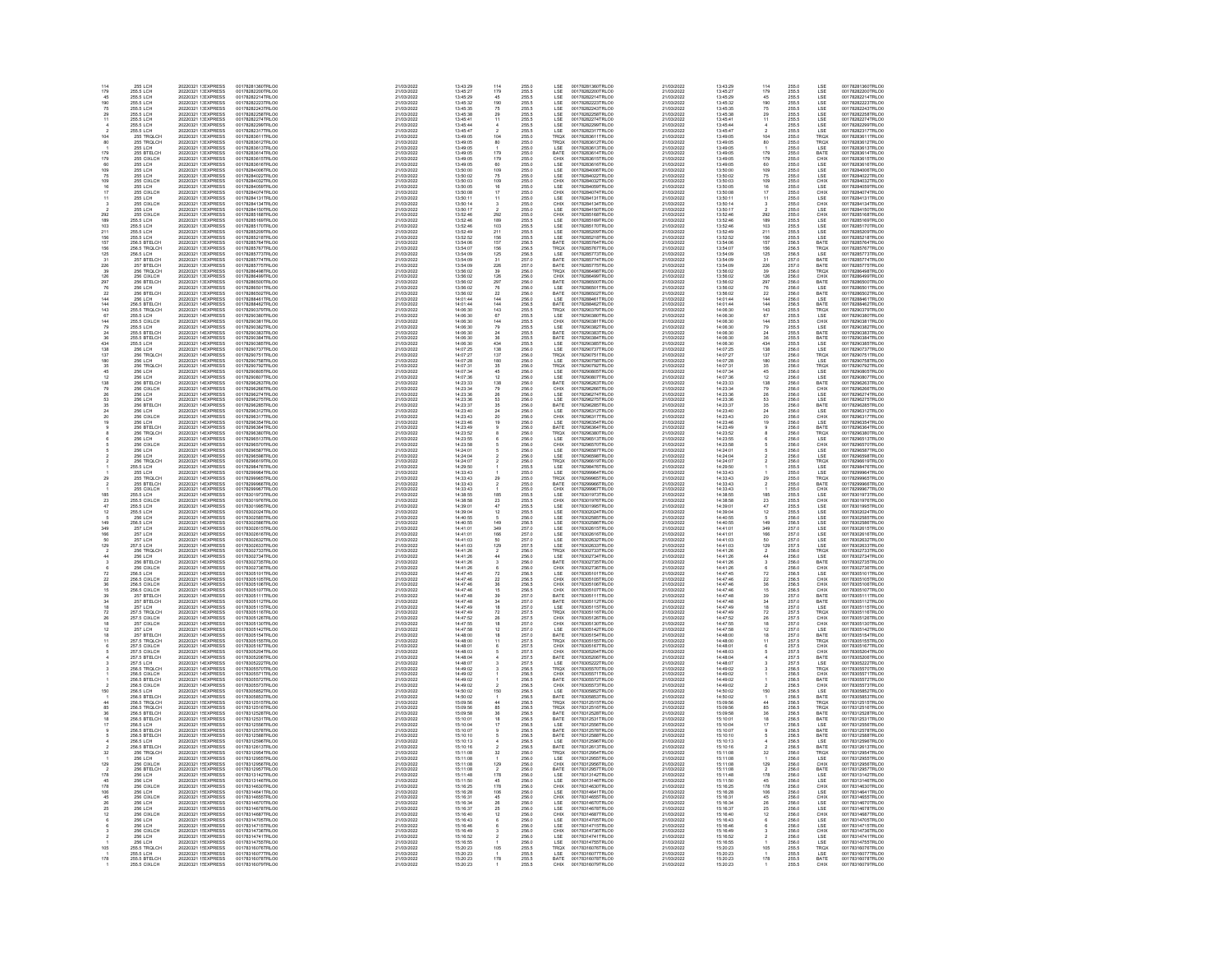| 114<br>179       | <b>255 LCH</b><br>255.5 LCH                                                                        | 20220321 1: EXPRESS<br>20220321 1: EXPRESS                                                                                             | 00178281360TRLO0<br>00178282200TRLOO                                                                                 | 21/03/2022<br>21/03/2022                                           | 13:43:29<br>13:45:27                                                            | 114<br>179                                                  | 255.0<br>255.5                                                       | LSE<br>LSE                                                                                                                                                                                                                       | 00178281360TRLO0<br>00178282200TRLO0                                                                                                     | 21/03/2022<br>21/03/2022                                                         | 13:43:29<br>13:45:27                                                                             | 114<br>179                                           | 255.0<br>255.5                                                       | LSE<br>LSE                                                              | 00178281360TRLO0<br>00178282200TRLO0                                                                                  |
|------------------|----------------------------------------------------------------------------------------------------|----------------------------------------------------------------------------------------------------------------------------------------|----------------------------------------------------------------------------------------------------------------------|--------------------------------------------------------------------|---------------------------------------------------------------------------------|-------------------------------------------------------------|----------------------------------------------------------------------|----------------------------------------------------------------------------------------------------------------------------------------------------------------------------------------------------------------------------------|------------------------------------------------------------------------------------------------------------------------------------------|----------------------------------------------------------------------------------|--------------------------------------------------------------------------------------------------|------------------------------------------------------|----------------------------------------------------------------------|-------------------------------------------------------------------------|-----------------------------------------------------------------------------------------------------------------------|
| 45               | 255.5 LCH                                                                                          | 20220321 1: EXPRESS                                                                                                                    | 00178282214TRLO0                                                                                                     | 21/03/2022                                                         | 13:45:29                                                                        | 45                                                          | 255.5                                                                | LSE                                                                                                                                                                                                                              | 00178282214TRLO0                                                                                                                         | 21/03/2022                                                                       | 13:45:29                                                                                         | 45                                                   | 255.5                                                                | LSE                                                                     | 00178282214TRLO0                                                                                                      |
| 190<br>75        | 255.5 LCH<br>255.5 LCH                                                                             | 20220321 1: EXPRESS<br>20220321 1: EXPRESS                                                                                             | 00178282223TRLOO<br>00178282243TRLOO                                                                                 | 21/03/2022<br>21/03/2022                                           | 13:45:32<br>13:45:35                                                            | 190<br>75                                                   |                                                                      |                                                                                                                                                                                                                                  | 00178282223TRLO0<br>00178282243TRLO0                                                                                                     | 21/03/2022<br>21/03/2022                                                         | 13:45:32<br>13:45:35                                                                             |                                                      |                                                                      |                                                                         | 00178282223TRLOO<br>00178282243TRLOO                                                                                  |
|                  | 255.5 LCH<br>255.5 LCH<br>255.5 LCH                                                                | 20220321 1: EXPRESS<br>20220321 1: EXPRESS<br>20220321 1: EXPRESS<br>20220321 1: EXPRESS                                               | 001782822431RE00<br>001782822258TRLO0<br>001782822299TRLO0                                                           | 21/03/2022<br>21/03/2022<br>21/03/2022                             | 13:45:38<br>13:45:38<br>13:45:44                                                |                                                             | 255.5<br>255.5<br>255.5<br>255.5<br>255.5                            | LSE<br>LSE<br>LSE<br>LSE<br>LSE<br>TROX                                                                                                                                                                                          | 001782822431NLCO<br>001782822258TRLCO<br>001782822299TRLCO                                                                               | 21/03/2022<br>21/03/2022<br>21/03/2022                                           | 13:45:38<br>13:45:41<br>13:45:44                                                                 | 190<br>75<br>29<br>11                                | 255.5<br>255.5<br>255.5<br>255.5<br>255.5                            | LSE<br>LSE<br>LSE<br>LSE<br>LSE<br>LSE<br>TROX                          | 001782822431RE00<br>001782822258TRLO0<br>00178282299TRLO0                                                             |
|                  |                                                                                                    |                                                                                                                                        |                                                                                                                      | 21/03/2022                                                         | 13:45:47                                                                        |                                                             |                                                                      |                                                                                                                                                                                                                                  |                                                                                                                                          | 21/03/2022                                                                       | 13:45:47                                                                                         |                                                      |                                                                      |                                                                         |                                                                                                                       |
| 104              | 255.5 LCH<br>255 TRQLCH<br>255 TROLCH                                                              | 20220321 1: EXPRESS<br>20220321 1: EXPRESS<br>20220321 1: EXPRESS                                                                      | 00178282317TRLC0<br>00178283611TRLC0<br>00178283612TRLO0                                                             | 21/03/2022<br>21/03/2022                                           | 13:49:05<br>13:49:05                                                            | $\frac{2}{104}$                                             | 255.5<br>255.0                                                       |                                                                                                                                                                                                                                  | 00178282317TRLC0<br>00178283611TRLC0<br>00178283612TRLO0                                                                                 | 21/03/2022<br>21/03/2022                                                         | 13:49:05<br>13:49:05                                                                             | $\frac{2}{104}$                                      | 255.5<br>255.0                                                       |                                                                         | 00178282317TRLO0<br>00178283611TRLO0<br>00178283612TRLO0                                                              |
| 80               | <b>255 LCH</b>                                                                                     | 20220321 1: EXPRESS<br>20220321 1: EXPRESS                                                                                             | 00178283613TRLOO<br>00178283614TRLO0                                                                                 | 21/03/2022<br>21/03/2022                                           | 13:49:05<br>13:49:05                                                            | $^{80}_{1}$                                                 | 255.0<br>255.0                                                       | TRQX<br>LSE<br>RATE                                                                                                                                                                                                              | 00178283613TRLOO                                                                                                                         | 21/03/2022<br>21/03/2022                                                         | 13:49:05<br>13:49:05                                                                             | $^{80}_{1}$<br>179                                   | 255.0<br>255.0                                                       | TRQX<br>LSE                                                             | 00178283613TRLOO<br>00178283814TRLO0                                                                                  |
|                  | 255 BTELCH                                                                                         |                                                                                                                                        |                                                                                                                      |                                                                    |                                                                                 | 179<br>179<br>60<br>109<br>75<br>109                        | 255.0<br>255.0<br>255.0<br>255.0<br>255.0<br>255.0                   |                                                                                                                                                                                                                                  | 00178283613TRL00<br>00178283614TRL00<br>00178283616TRL00<br>00178284006TRL00<br>00178284022TRL00<br>00178284032TRL00<br>00178284032TRL00 |                                                                                  |                                                                                                  |                                                      | 255.0<br>255.0<br>255.0<br>255.0<br>255.0<br>255.0                   | BATE<br>CHIX<br>LSE<br>LSE<br>LSE<br>CHIX<br>CHIX                       |                                                                                                                       |
|                  | 255 BTELCH<br>255 CIXLCH<br>255 LCH<br>255 LCH<br>255 CIXLCH<br>255 CIXLCH                         | 20220321 1: EXPRESS<br>20220321 1: EXPRESS<br>20220321 1: EXPRESS<br>20220321 1: EXPRESS<br>20220321 1: EXPRESS<br>20220321 1: EXPRESS | 00178283814TRLO0<br>00178283815TRLO0<br>00178283816TRLO0<br>00178284005TRLO0<br>00178284022TRLO0<br>00178284032TRLO0 | 21/03/2022<br>21/03/2022<br>21/03/2022<br>21/03/2022<br>21/03/2022 | 13:49:05<br>13:49:05<br>13:50:00<br>13:50:02<br>13:50:03                        |                                                             |                                                                      | CHIX<br>LSE<br>LSE<br>LSE<br>LSE<br>LSE<br>LSE<br>LSE                                                                                                                                                                            |                                                                                                                                          | 21/03/2022<br>21/03/2022<br>21/03/2022<br>21/03/2022<br>21/03/2022               | 13:49:05<br>13:49:05<br>13:50:00<br>13:50:02<br>13:50:03                                         | 179<br>60<br>109<br>75<br>109                        |                                                                      |                                                                         | 00178283614TRLO0<br>00178283615TRLO0<br>00178283616TRLO0<br>00178284006TRLO0<br>00178284022TRLO0<br>00178284032TRLO0  |
| 109              |                                                                                                    |                                                                                                                                        |                                                                                                                      | 21/03/2022                                                         |                                                                                 |                                                             |                                                                      |                                                                                                                                                                                                                                  |                                                                                                                                          | 21/03/2022                                                                       |                                                                                                  |                                                      |                                                                      |                                                                         |                                                                                                                       |
|                  | 255 LCH<br>255 CIXLCH                                                                              | 20220321 1: EXPRESS<br>20220321 1: EXPRESS                                                                                             | 00178284059TRLO0<br>00178284074TRLO0                                                                                 | 21/03/2022<br>21/03/2022                                           | 13:50:05<br>13:50:08                                                            | $^{16}_{17}$                                                | 255.0<br>255.0                                                       |                                                                                                                                                                                                                                  | 00178284059TRLO0<br>00178284074TRLO0                                                                                                     | 21/03/2022<br>21/03/2022                                                         | 13:50:05<br>13:50:08                                                                             | $\frac{16}{17}$                                      | 255.0<br>255.0                                                       |                                                                         | 00178284059TRLO0<br>00178284074TRLOO                                                                                  |
|                  | <b>255 LCH</b>                                                                                     | 20220321 1: EXPRESS                                                                                                                    | 00178284131TRLO0                                                                                                     | 21/03/2022                                                         | 13:50:11                                                                        | $\frac{11}{3}$                                              |                                                                      |                                                                                                                                                                                                                                  | 00178284131TRLC0<br>00178284134TRLC0                                                                                                     | 21/03/2022                                                                       | 13:50:11                                                                                         | $\frac{11}{3}$                                       |                                                                      |                                                                         | 00178284131TRLO0<br>00178284134TRLO0                                                                                  |
|                  | 255 CIXLCH                                                                                         | 20220321 1: EXPRESS<br>20220321 1: EXPRESS                                                                                             | 00178284134TRLOO<br>00178284150TRLOO                                                                                 | 21/03/2022<br>21/03/2022                                           | 13:50:14<br>13:50:17                                                            |                                                             | 255.0<br>255.0<br>255.0<br>255.5<br>255.5<br>255.5<br>255.5          | LSE<br>CHIX<br>LSE<br>LSE<br>LSE<br>LSE<br>LSE                                                                                                                                                                                   |                                                                                                                                          | 21/03/2022<br>21/03/2022                                                         | 13:50:14                                                                                         |                                                      | 255.0<br>255.0<br>255.0<br>255.5<br>255.5<br>255.5<br>255.5          | LSE<br>CHIX<br>CHIX<br>LSE<br>LSE<br>LSE<br>LSE                         | 00178284150TRLOO                                                                                                      |
|                  | 255 LIXELH<br>255 LIXELCH<br>255 S LIXELCH<br>255 S LICH<br>255 S LICH<br>255 S LICH<br>255 S LICH | 20220321 1: EXPRESS<br>20220321 1: EXPRESS<br>20220321 1: EXPRESS<br>20220321 1: EXPRESS<br>20220321 1: EXPRESS                        | 001782841501RLC0<br>00178285168TRLC0<br>00178285170TRLC0<br>00178285209TRLC0<br>00178285209TRLC0                     | 21/03/2022<br>21/03/2022<br>21/03/2022                             | 13:52:46<br>13:52:46<br>13:52:46<br>13:52:49<br>13:52:49                        | 292<br>189<br>103<br>211<br>156<br>157<br>156               |                                                                      |                                                                                                                                                                                                                                  | 001782841341RL00<br>00178285168TRL00<br>00178285168TRL00<br>00178285170TRL00<br>00178285209TRL00                                         | 21/03/2022<br>21/03/2022<br>21/03/2022                                           | $13.50 \cdot 17$<br>$13.52 \cdot 46$<br>$13.52 \cdot 46$<br>$13.52 \cdot 49$<br>$13.52 \cdot 49$ | $292$<br>189<br>103<br>211                           |                                                                      |                                                                         | 001782841501RL00<br>00178285168TRL00<br>00178285169TRL00<br>00178285209TRL00<br>00178285209TRL00                      |
| 103<br>211       |                                                                                                    |                                                                                                                                        |                                                                                                                      | 21/03/2022<br>21/03/2022                                           |                                                                                 |                                                             |                                                                      |                                                                                                                                                                                                                                  |                                                                                                                                          | 21/03/2022                                                                       |                                                                                                  |                                                      |                                                                      |                                                                         |                                                                                                                       |
| 156              | 255.5 LCH                                                                                          | 20220321 1: EXPRESS                                                                                                                    | 00178285218TRLOO                                                                                                     | 21/03/2022                                                         | 13:52:52                                                                        |                                                             |                                                                      |                                                                                                                                                                                                                                  | 00178285218TRLOO                                                                                                                         | 21/03/2022                                                                       | 13:52:52                                                                                         | 156                                                  |                                                                      |                                                                         | 00178285218TRLOO                                                                                                      |
| 157<br>156       | 256.5 BTELCH<br>256.5 TROLCH                                                                       | 20220321 1: EXPRESS<br>20220321 1: EXPRESS                                                                                             | 00178285764TRLO0<br>00178285767TRLOO                                                                                 | 21/03/2022<br>21/03/2022                                           | 13:54:06<br>13:54:07                                                            |                                                             | 256.5<br>256.5                                                       | BATE<br>TRQX                                                                                                                                                                                                                     | 00178285764TRLO0<br>00178285767TRLOO                                                                                                     | 21/03/2022<br>21/03/2022                                                         | 13:54:06<br>13:54:07                                                                             | 157<br>156                                           | 256.5<br>256.5                                                       | BATE<br>TRQX                                                            | 00178285764TRLO0<br>00178285767TRLOO                                                                                  |
| 125<br>31        | 256.5 LCH<br>257 BTFLCH                                                                            | 20220321 1: EXPRESS<br>20220321 1: EXPRESS                                                                                             | 00178285773TRLO0<br>00178285774TRLO0                                                                                 | 21/03/2022<br>21/03/2022                                           | 13:54:09<br>13:54:09                                                            |                                                             |                                                                      | LSE<br>BATE                                                                                                                                                                                                                      | 00178285773TRLO0<br>00178285774TRLO0                                                                                                     | 21/03/2022<br>21/03/2022                                                         | 13:54:09<br>13:54:05                                                                             |                                                      |                                                                      | LSE<br>BATE                                                             | 00178285773TRLOO                                                                                                      |
|                  | 257 BTELCH<br>256 TRQLCH<br>256 CIXLCH                                                             | 20220321 1: EXPRESS<br>20220321 1: EXPRESS<br>20220321 1: EXPRESS<br>20220321 1: EXPRESS                                               | 00178285774TRLO0<br>00178286498TRLO0<br>00178286498TRLO0<br>00178286499TRLO0<br>00178286500TRLO0                     | 21/03/2022<br>21/03/2022<br>21/03/2022                             | 13:54:09<br>13:56:02<br>13:56:02                                                | 125<br>31<br>226<br>39<br>327<br>6<br>22<br>44<br>4         | 256.5<br>257.0<br>257.0<br>256.0<br>256.0<br>256.0<br>256.0<br>256.0 | BATE<br>TROX<br>CHIX<br>BATE<br>LSE<br>LSE<br>BATE                                                                                                                                                                               | 00178285774TRLO0<br>00178286498TRLO0<br>00178286499TRLO0<br>00178286500TRLO0<br>00178286501TRLO0<br>00178286501TRLO0                     | 21/03/2022<br>21/03/2022<br>21/03/2022                                           | 13:54:09<br>13:54:09<br>13:56:02<br>13:56:02                                                     | 125<br>31<br>226<br>39<br>28<br>76<br>22<br>44<br>44 | 256.5<br>257.0<br>257.0<br>256.0<br>256.0<br>256.0<br>256.0          | BATE<br>TROX<br>CHIX<br>CHIX<br>BATE<br>LSE<br>BATE                     | 00178285774TRL00<br>00178285775TRL00<br>00178286496TRL00<br>00178286499TRL00<br>00178286500TRL00<br>00178286501TRL00  |
| 29               | 256 BTELCH                                                                                         |                                                                                                                                        |                                                                                                                      | 21/03/2022                                                         |                                                                                 |                                                             |                                                                      |                                                                                                                                                                                                                                  |                                                                                                                                          | 21/03/2022                                                                       | 13:56:02                                                                                         |                                                      |                                                                      |                                                                         |                                                                                                                       |
|                  | 256 LCH<br>256 BTELCH                                                                              | 20220321 1: EXPRESS<br>20220321 1: EXPRESS<br>20220321 1: EXPRESS                                                                      | 00178286502TRLO0                                                                                                     | 21/03/2022<br>21/03/2022                                           | 13:56:02<br>13:56:02<br>13:56:02                                                |                                                             |                                                                      |                                                                                                                                                                                                                                  | 00178286502TRLO0                                                                                                                         | 21/03/2022<br>21/03/2022                                                         | 13:56:02<br>13:56:02                                                                             |                                                      |                                                                      |                                                                         | 00178286502TRLO0                                                                                                      |
| 144              | <b>256 LCH</b>                                                                                     | 20220321 1 EXPRESS<br>20220321 1 EXPRESS                                                                                               | 00178288461TRLO0<br>00178288462TRLO0                                                                                 | 21/03/2022                                                         | 14:01:44                                                                        |                                                             |                                                                      | LSE<br>BATE                                                                                                                                                                                                                      | 00178288461TRLO0<br>00178288462TRLO0                                                                                                     | 21/03/2022                                                                       | 14:01:44                                                                                         |                                                      |                                                                      | LSE<br>BATE                                                             | 00178288461TRLOO                                                                                                      |
| 144<br>143<br>67 | 256.5 BTELCH<br>255.5 TROLCH<br>255.5 LCH                                                          | 20220321 1 EXPRESS<br>20220321 1 EXPRESS                                                                                               | 00178290379TRLOO<br>00178290380TRLOO                                                                                 | 21/03/2022<br>21/03/2022<br>21/03/2022                             | 14:01:44<br>14:06:30<br>14:06:30                                                |                                                             |                                                                      |                                                                                                                                                                                                                                  | 00178290379TRLO0<br>00178290380TRLO0                                                                                                     | 21/03/2022<br>21/03/2022<br>21/03/2022                                           | 14:01:44<br>14:06:30<br>14:06:30                                                                 |                                                      |                                                                      |                                                                         | 00178288462TRLOO<br>00178290379TRLOO<br>00178290380TRLOO                                                              |
|                  | 255.5 CIXLCH                                                                                       | 20220321 1-EXPRESS                                                                                                                     |                                                                                                                      | 21/03/2022                                                         |                                                                                 | $\begin{array}{r} 143 \\ 67 \\ 144 \\ 79 \\ 24 \end{array}$ |                                                                      | TROX<br>LSE<br>CHIX<br>LSE<br>BATE                                                                                                                                                                                               |                                                                                                                                          | 21/03/2022                                                                       |                                                                                                  | 143<br>67<br>144<br>79<br>24                         |                                                                      | TROX<br>LSE<br>CHIX<br>LSE<br>BATE                                      |                                                                                                                       |
|                  | 255.5 LCH<br>255.5 BTELCH                                                                          | 20220321 1-EXPRESS<br>20220321 1-EXPRESS                                                                                               | 00178290381TRLOO<br>00178290382TRLOO<br>00178290383TRLOO                                                             | 21/03/2022<br>21/03/2022                                           | 14:06:30<br>14:06:30<br>14:06:30                                                |                                                             |                                                                      |                                                                                                                                                                                                                                  | 00178290381TRLO0<br>00178290382TRLO0<br>00178290383TRLO0                                                                                 | 21/03/2022<br>21/03/2022                                                         | 14:06:30<br>14:06:30<br>14:06:30<br>14:06:30                                                     |                                                      |                                                                      |                                                                         | 001782903801RE00<br>00178290382TRLO0<br>00178290383TRLO0                                                              |
| 36<br>434        | 255.5 BTELCH<br>255.5 LCH                                                                          | 20220321 1 EXPRESS<br>20220321 1 EXPRESS                                                                                               | 00178290384TRLO0<br>00178290385TRLO0                                                                                 | 21/03/2022<br>21/03/2022                                           | 14:06:30<br>14:06:30                                                            | $\frac{36}{434}$                                            | 256.0<br>256.5<br>255.5<br>255.5<br>255.5<br>255.5<br>255.5<br>255.5 | BATE<br>LSE                                                                                                                                                                                                                      | 00178290384TRLO0<br>00178290385TRLO0                                                                                                     | 21/03/2022<br>21/03/2022                                                         | 14:06:30<br>14:06:30                                                                             | $\frac{36}{434}$                                     | 256.0<br>256.5<br>256.5<br>256.5<br>256.5<br>256.5<br>256.5<br>256.5 | BATE                                                                    | 00178290384TRLO0<br>00178290385TRLO0                                                                                  |
| 138              | 256 LCH                                                                                            | 20220321 1 EXPRESS                                                                                                                     | 00178290737TRLO0                                                                                                     | 21/03/2022                                                         | 14:07:25                                                                        |                                                             | 256.0                                                                | LSE                                                                                                                                                                                                                              | 00178290737TRLO0                                                                                                                         | 21/03/2022                                                                       | 14:07:25                                                                                         | 138                                                  | 256.0                                                                | LSE<br>LSE                                                              | 00178290737TRLO0                                                                                                      |
| iä               | 256 TROLCH<br>256 LCH                                                                              | 20220321 1/ EXPRESS<br>20220321 1 EXPRESS                                                                                              | 00178290751TRLC0<br>00178290758TRLC0                                                                                 | 21/03/2022<br>21/03/2022                                           | 14:07:27<br>14:07:28                                                            |                                                             |                                                                      | TRQX<br>LSE                                                                                                                                                                                                                      | 00178290751TRLC0<br>00178290758TRLC0                                                                                                     | 21/03/2022<br>21/03/2022                                                         | 14:07:27<br>14-07-28                                                                             | 137<br>180                                           |                                                                      |                                                                         | 00178290751TRLOC<br>00178290758TRLOC                                                                                  |
|                  | 256 ECH<br>256 LCH<br>256 LCH<br>256 LCH                                                           |                                                                                                                                        |                                                                                                                      | 21/03/2021<br>21/03/2022<br>21/03/2022<br>21/03/2022               | 14:07:31<br>14:07:31<br>14:07:36                                                |                                                             |                                                                      |                                                                                                                                                                                                                                  |                                                                                                                                          | 21/03/2022<br>21/03/2022<br>21/03/2022                                           | 14:07:31<br>14:07:31<br>14:07:36                                                                 |                                                      |                                                                      |                                                                         |                                                                                                                       |
|                  |                                                                                                    | 20220321 1 EXPRESS<br>20220321 1 EXPRESS<br>20220321 1 EXPRESS<br>20220321 1 EXPRESS<br>20220321 1 EXPRESS<br>20220321 1 EXPRESS       | 001782907581RLO0<br>00178290792TRLO0<br>00178290805TRLO0<br>00178296263TRLO0<br>00178296263TRLO0<br>00178296268TRLO0 | 21/03/2022                                                         |                                                                                 | 138<br>137<br>180<br>35<br>45<br>12<br>138<br>79            | 256.0<br>256.0<br>256.0<br>256.0<br>256.0<br>256.0<br>256.0          |                                                                                                                                                                                                                                  | 001782907581RLO0<br>00178290792TRLO0<br>00178290805TRLO0<br>00178296263TRLO0<br>00178296268TRLO0<br>00178296266TRLO0                     |                                                                                  | 14:23:33                                                                                         |                                                      |                                                                      |                                                                         | 001782907581RL00<br>00178290792TRL00<br>00178290805TRL00<br>00178296807TRL00<br>00178296263TRL00<br>00178296263TRL00  |
|                  | 256 BTELCH<br>256 CIXLCH                                                                           | 20220321 1 EXPRESS                                                                                                                     | 00178296274TRLO0                                                                                                     | 21/03/2022<br>21/03/2022                                           | 14:23:33<br>14:23:34<br>14:23:36                                                |                                                             |                                                                      | LSE<br>TROX<br>LSE<br>LSE<br>CHIX<br>CHIX<br>LSE                                                                                                                                                                                 |                                                                                                                                          | 21/03/2022<br>21/03/2022<br>21/03/2022                                           | 14:23:34<br>14:23:36                                                                             | 35 45 12 38 79 26 53                                 | 256.0<br>256.0<br>256.0<br>256.0<br>256.0<br>256.0<br>256.0<br>256.0 | TRQX<br>LSE<br>TRQX<br>LSE<br>LSE<br>BATE<br>CHIX<br>CHIX<br>LSE<br>LSE | 00178296274TRLOO                                                                                                      |
| 26<br>53         | 256 LCH<br>256 LCH<br>256 BTELCH                                                                   | 20220321 1 EXPRESS<br>20220321 1 EXPRESS                                                                                               | 00178296275TRLO0<br>00178296285TRLO0                                                                                 | 21/03/2022<br>21/03/2022                                           | 14:23:36<br>14:23:37                                                            | $\frac{26}{53}$<br>35                                       | 256.0<br>256.0                                                       | BATE                                                                                                                                                                                                                             | 00178296274TRLO0<br>00178296275TRLO0<br>00178296285TRLO0                                                                                 | 21/03/2022<br>21/03/2022                                                         | 14:23:36<br>14:23:37                                                                             |                                                      |                                                                      | BATE                                                                    | 00178296275TRLO0<br>00178296285TRLO0                                                                                  |
| $\frac{24}{20}$  | 256 LCH<br>256 CIXLCH                                                                              | 20220321 1 EXPRESS<br>20220321 1 EXPRESS                                                                                               | 00178296312TRLC0<br>00178296317TRLC0                                                                                 | 21/03/2022<br>21/03/2022                                           | 14:23:40<br>14:23:43                                                            |                                                             |                                                                      |                                                                                                                                                                                                                                  | 00178296312TRLO0<br>00178296317TRLO0                                                                                                     | 21/03/2022<br>21/03/2022                                                         | 14:23:40<br>14:23:43                                                                             | 35<br>24<br>20                                       |                                                                      |                                                                         | 00178296312TRLOO<br>00178296317TRLOO                                                                                  |
|                  |                                                                                                    |                                                                                                                                        |                                                                                                                      |                                                                    |                                                                                 | $24$<br>$20$<br>$19$                                        | 256.0<br>256.0<br>256.0<br>256.0<br>256.0<br>256.0<br>256.0<br>256.0 | LSE<br>LSE<br>CHIX<br>LSE<br>BATE<br>TRQX<br>LSE<br>CHIX                                                                                                                                                                         |                                                                                                                                          |                                                                                  |                                                                                                  |                                                      | 256.0<br>256.0<br>256.0<br>256.0<br>256.0<br>256.0<br>256.0          | <b>ESE</b><br>CHIX<br>LSE<br>BATE<br>TROX<br>LSE<br>CHIX<br>CHIX        |                                                                                                                       |
|                  | 256 LCH<br>256 BTELCH<br>256 TROLCH                                                                | 202203211-EXPRESS<br>202203211-EXPRESS<br>202203211-EXPRESS                                                                            | 00178296354TRLOO<br>00178296364TRLOO<br>00178296380TRLOO                                                             | 21/03/2022<br>21/03/2022<br>21/03/2022                             | 14:23:48<br>14:23:48<br>14:23:52                                                |                                                             |                                                                      |                                                                                                                                                                                                                                  | 00178296354TRLO0<br>00178296364TRLO0<br>00178296380TRLO0                                                                                 | 21/03/2022<br>21/03/2022<br>21/03/2022                                           | 14:23:46<br>14:23:46<br>14:23:49<br>14:23:52                                                     |                                                      |                                                                      |                                                                         | 00178296354TRLO0<br>00178296364TRLO0<br>00178296364TRLO0                                                              |
|                  | 256 LCH<br>256 CIXLCH                                                                              | 20220321 1 EXPRESS<br>20220321 1 EXPRESS                                                                                               | 00178296513TRLC0<br>00178296570TRLC0                                                                                 | 21/03/2022<br>21/03/2022                                           | 14:23:55<br>14:23:58                                                            |                                                             |                                                                      |                                                                                                                                                                                                                                  | 00178296513TRLO0<br>00178296570TRLO0                                                                                                     | 21/03/2022<br>21/03/2022                                                         | 14:23:55<br>14:23:58                                                                             |                                                      |                                                                      |                                                                         | 00178296513TRLO<br>00178296570TRLO0                                                                                   |
|                  | 256 LCH<br><b>256 LCH</b>                                                                          | 20220321 1 EXPRESS<br>20220321 1 EXPRESS                                                                                               | 00178296587TRLO0<br>00178296598TRLO0                                                                                 | 21/03/2022<br>21/03/2022                                           | 14:24:01<br>14:24:04                                                            |                                                             | 256.0<br>256.0                                                       | LSE<br>LSE                                                                                                                                                                                                                       | 00178296587TRLO0<br>00178296598TRLO0                                                                                                     | 21/03/2022<br>21/03/2022                                                         | 14:24:01<br>14:24:04                                                                             |                                                      | 256.0<br>256.0                                                       | $_{\rm LSE}^{\rm LSE}$                                                  | 00178296587TRLO0<br>00178296598TRLOO                                                                                  |
|                  | 256 TROLCH                                                                                         | 20220321 1/ EXPRESS                                                                                                                    | 00178296619TRLOO                                                                                                     | 21/03/2022                                                         | 14:24:07                                                                        |                                                             |                                                                      | TROX                                                                                                                                                                                                                             | 00178296619TRLO0                                                                                                                         | 21/03/2022                                                                       | 14:24:07                                                                                         |                                                      |                                                                      |                                                                         | 00178298619TRLO0                                                                                                      |
|                  |                                                                                                    |                                                                                                                                        |                                                                                                                      |                                                                    |                                                                                 |                                                             |                                                                      |                                                                                                                                                                                                                                  |                                                                                                                                          |                                                                                  |                                                                                                  |                                                      |                                                                      |                                                                         |                                                                                                                       |
|                  | 256 TROLCH<br>255.5 LCH<br>255 TROLCH<br>255 BTELCH<br>255 CIXLCH<br>255 CIXLCH<br>255 CIXLCH      | 20220321 1 EXPRESS<br>20220321 1 EXPRESS<br>20220321 1 EXPRESS<br>20220321 1 EXPRESS<br>20220321 1 EXPRESS<br>20220321 1 EXPRESS       | 001782968191RLO0<br>00178298476TRLO0<br>00178299964TRLO0<br>00178299966TRLO0<br>00178299966TRLO0<br>00178299967TRLO0 | 21/03/2022<br>21/03/2022<br>21/03/2022<br>21/03/2022<br>21/03/2022 | $14.2437$<br>$14.29.50$<br>$14.33.43$<br>$14.33.43$<br>$14.33.43$<br>$14.33.43$ | $\frac{29}{2}$                                              | 256.0<br>255.5<br>255.0<br>255.0<br>255.0<br>255.5<br>255.5          |                                                                                                                                                                                                                                  | 001782968191RL00<br>00178299476TRL00<br>00178299964TRL00<br>00178299966TRL00<br>00178299966TRL00<br>00178299967TRL00                     | 21/03/2022<br>21/03/2022<br>21/03/2022<br>21/03/2022<br>21/03/2022<br>21/03/2022 | $14.24 \times 14$<br>14:29:50<br>14:33:43<br>14:33:43<br>14:33:43<br>14:33:43                    | $\frac{25}{2}$                                       | 256.0<br>255.5<br>255.0<br>255.0<br>255.0<br>255.5<br>255.5          | TROX<br>LSE<br>LSE<br>TROX<br>BATE<br>CHIX<br>CHIX<br>LSE               | 001782986191RL00<br>001782998476TRL00<br>00178299964TRL00<br>00178299966TRL00<br>00178299966TRL00<br>00178299967TRL00 |
| 185              | 255.5 LCH<br>255.5 CIXLCH                                                                          | 20220321 1 EXPRESS<br>20220321 1 EXPRESS                                                                                               | 00178301973TRLO0                                                                                                     | 21/03/2022                                                         | 14:38:55                                                                        | 185<br>23                                                   |                                                                      |                                                                                                                                                                                                                                  | 00178301973TRLO0<br>00178301976TRLO0                                                                                                     | 21/03/2022                                                                       | 14:38:55                                                                                         | 185                                                  |                                                                      |                                                                         | 00178301973TRLO0<br>00178301976TRLO0                                                                                  |
| 23               | 255.5 LCH                                                                                          | 20220321 1 EXPRESS<br>20220321 1 EXPRESS                                                                                               | 00178301976TRLOO<br>00178301995TRLO0                                                                                 | 21/03/2022<br>21/03/2022                                           | 14:38:58<br>14:39:01                                                            | $^{47}_{12}$                                                |                                                                      |                                                                                                                                                                                                                                  | 00178301995TRLO0<br>00178302024TRLO0                                                                                                     | 21/03/2022<br>21/03/2022                                                         | 14:38:58<br>14:39:01                                                                             | 23<br>47<br>12                                       |                                                                      |                                                                         | 00178301995TRLO0                                                                                                      |
|                  | 255.5 LCH<br>256 LCH                                                                               | 20220321 1/ EXPRESS                                                                                                                    | 00178302024TRLOO<br>00178302585TRLO0                                                                                 | 21/03/2022<br>21/03/2022                                           | 14:39:04<br>14:40:55                                                            |                                                             |                                                                      |                                                                                                                                                                                                                                  |                                                                                                                                          | 21/03/2022<br>21/03/2022                                                         | 14:39:04<br>14:40:55                                                                             |                                                      |                                                                      |                                                                         | 00178302024TRLOO<br>00178302585TRLO0                                                                                  |
| 149<br>349       |                                                                                                    |                                                                                                                                        |                                                                                                                      |                                                                    |                                                                                 |                                                             |                                                                      |                                                                                                                                                                                                                                  |                                                                                                                                          |                                                                                  |                                                                                                  |                                                      |                                                                      |                                                                         |                                                                                                                       |
| 166<br>50        | 256.5 LCH<br>257 LCH<br>257 LCH<br>257 LCH<br>257.5 LCH                                            | 20220321 1 EXPRESS<br>20220321 1 EXPRESS<br>20220321 1 EXPRESS<br>20220321 1 EXPRESS<br>20220321 1 EXPRESS                             | 001783025851RLC0<br>00178302586TRLC0<br>00178302615TRLC0<br>00178302632TRLC0<br>00178302632TRLC0                     | 21/03/2022<br>21/03/2022<br>21/03/2022<br>21/03/2022<br>21/03/2022 | 14:40:55<br>14:41:01<br>14:41:01<br>14:41:03<br>14:41:03                        | 149<br>349<br>166<br>50<br>50                               | 255.5<br>255.5<br>256.0<br>256.5<br>257.0<br>257.0<br>257.0<br>257.5 | ESE CREATE DE LA GREATE DE LA GREATE DE LA GREATE DE LA GREATE DE LA GREATE DE LA GREATE DE LA GREATE DE LA GR<br>LA GREATE DE LA GREATE DE LA GREATE DE LA GREATE DE LA GREATE DE LA GREATE DE LA GREATE DE LA GREATE DE LA GRE | 001783020241RL00<br>00178302585TRL00<br>00178302586TRL00<br>00178302616TRL00<br>00178302632TRL00<br>00178302632TRL00                     | 21/03/2022<br>21/03/2022<br>21/03/2022<br>21/03/2022<br>21/03/2022               | 14:40:55<br>14:41:01<br>14:41:01<br>14:41:03<br>11:11:00                                         | 149<br>349<br>166<br>50<br>129                       | 255.5<br>255.5<br>256.0<br>256.5<br>257.0<br>257.0<br>257.0<br>257.5 | LSE<br>LSE<br>LSE<br>LSE<br>LSE<br>LSE                                  | 001783025851KLO0<br>00178302586TRLO0<br>00178302615TRLO0<br>00178302616TRLO0<br>00178302632TRLO0                      |
| 129              |                                                                                                    | 20220321 1 EXPRESS<br>20220321 1 EXPRESS                                                                                               | 00178302633TRLO0<br>00178302733TRLO0                                                                                 | 21/03/2022<br>21/03/2022                                           | 14:41:03                                                                        |                                                             |                                                                      |                                                                                                                                                                                                                                  | 00178302633TRLOO                                                                                                                         | 21/03/2022<br>21/03/2022                                                         | 14:41:03<br>14:41:26                                                                             |                                                      |                                                                      |                                                                         | 00178302633TRLO0<br>00178302733TRLO0                                                                                  |
| 44               | 256 TRQLCH<br>256 LCH                                                                              | 20220321 1 EXPRESS<br>20220321 1/ EXPRESS                                                                                              | 00178302734TRLOO<br>00178302735TRLO0                                                                                 | 21/03/2022<br>21/03/2022                                           | 14:41:26<br>14:41:26                                                            | $\frac{2}{44}$                                              | 256.0<br>256.0                                                       | TRQX<br>LSE                                                                                                                                                                                                                      | 00178302733TRLC0<br>00178302734TRLC0                                                                                                     | 21/03/2022<br>21/03/2022                                                         | 14:41:26<br>14:41:28                                                                             | $\frac{2}{44}$                                       | 256.0<br>256.0                                                       | TRQX<br>LSE                                                             | 00178302734TRLOO                                                                                                      |
|                  | 256 BTELCH<br>256 CIXLCH                                                                           | 20220321 1 EXPRESS                                                                                                                     | 00178302736TRLOO                                                                                                     | 21/03/2022                                                         | 14:41:26<br>14:41:26                                                            |                                                             | 256.0<br>256.0<br>256.5<br>256.5<br>256.5<br>256.5<br>257.0<br>257.0 | BATE<br>CHIX                                                                                                                                                                                                                     | 00178302735TRLO0<br>00178302736TRLO0                                                                                                     | 21/03/2022<br>21/03/2022                                                         | 14:41:26                                                                                         |                                                      | 256.0<br>256.0<br>256.5<br>256.5<br>256.5<br>256.5<br>257.0<br>257.0 | ESE<br>BATE<br>CHIX<br>CHIX<br>CHIX<br>CHIX<br>BATE                     | 00178302735TRLO0<br>00178302736TRLO0                                                                                  |
|                  | 256 CIXLCH<br>256.5 CIXLCH<br>256.5 CIXLCH<br>256.5 CIXLCH<br>257 BTELCH<br>057 BTELCH             | 20220321 1 EXPRESS<br>20220321 1 EXPRESS<br>20220321 1 EXPRESS<br>20220321 1 EXPRESS<br>20220321 1 EXPRESS<br>20220321 1 EXPRESS       | 001783027361RLO0<br>00178305101TRLO0<br>00178305105TRLO0<br>00178305105TRLO0<br>00178305107TRLO0<br>00178305111TRLO0 | 21/03/2022<br>21/03/2022<br>21/03/2022<br>21/03/2022<br>21/03/2022 | 14:47:45<br>14:47:46<br>14:47:46<br>14:47:46<br>14:47:48<br>14:47:48            | 72 22 36 15 39 34 18 72                                     |                                                                      | LSE<br>CHIX<br>CHIX<br>CHIX<br>BATE                                                                                                                                                                                              | 001783027361RLO0<br>00178305101TRLO0<br>00178305105TRLO0<br>00178305107TRLO0<br>00178305111TRLO0<br>00178305111TRLO0                     | 21/03/2022<br>21/03/2022<br>21/03/2022<br>21/03/2022<br>21/03/2022               | 14:47:46<br>14:47:46<br>14:47:46<br>14:47:46<br>14:47:48<br>14:47:48                             | 72 22 36 15 39 34 18 72                              |                                                                      |                                                                         | 001783027361RL00<br>00178305101TRL00<br>00178305105TRL00<br>00178305105TRL00<br>00178305107TRL00<br>00178305111TRL00  |
|                  |                                                                                                    |                                                                                                                                        |                                                                                                                      |                                                                    |                                                                                 |                                                             |                                                                      |                                                                                                                                                                                                                                  |                                                                                                                                          |                                                                                  |                                                                                                  |                                                      |                                                                      |                                                                         |                                                                                                                       |
|                  | 257 BTELCH                                                                                         | 20220321 1 EXPRESS                                                                                                                     | 00178305112TRLO0                                                                                                     | 21/03/2022<br>21/03/2022                                           | 14:47:48                                                                        |                                                             |                                                                      | BATE                                                                                                                                                                                                                             | 00178305112TRLC0                                                                                                                         | 21/03/2022                                                                       | 14:47:48                                                                                         |                                                      |                                                                      | BATE                                                                    | 00178305112TRLO0                                                                                                      |
| 72               | 257 LCH<br>257.5 TROLCH                                                                            | 20220321 1 EXPRESS<br>20220321 1 EXPRESS                                                                                               | 00178305115TRLC0<br>00178305116TRLC0                                                                                 | 21/03/2022<br>21/03/2022                                           | 14:47:49<br>14:47:49                                                            |                                                             | 257.0<br>257.5                                                       | LSE<br>TRQX                                                                                                                                                                                                                      | 00178305115TRLO0<br>00178305116TRLO0                                                                                                     | 21/03/2022<br>21/03/2022                                                         | 14:47:49<br>14:47:49                                                                             |                                                      | 257.0<br>257.5                                                       | LSE<br>TROX                                                             | 00178305115TRLO0<br>00178305116TRLOO                                                                                  |
| 26<br>18         | 257.5 CIXLCH<br>257 CIXLCH                                                                         | 20220321 1 EXPRESS<br>20220321 1 EXPRESS                                                                                               | 00178305126TRLC0<br>00178305130TRLC0                                                                                 | 21/03/2022<br>21/03/2022                                           | 14:47:52<br>14:47:55                                                            | $rac{26}{18}$                                               | 257.5<br>257.5<br>257.0<br>257.0<br>257.0                            | CHIX<br>CHIX<br>LSE<br>BATE<br>TRQX<br>CHIX<br>CHIX                                                                                                                                                                              | 001783051161RLO0<br>00178305126TRLO0<br>00178305142TRLO0<br>00178305154TRLO0<br>00178305155TRLO0                                         | 21/03/2022<br>21/03/2022                                                         | 14:47:52<br>14:47:55                                                                             | $\frac{26}{18}$                                      | 257.5<br>257.5<br>257.0<br>257.0<br>257.5<br>257.5<br>257.5          | CHIX<br>CHIX<br>LSE<br>BATE<br>TROX<br>CHIX<br>CHIX                     | 00178305126TRLO0<br>00178305130TRLOC                                                                                  |
|                  | 257 LCH<br>257 BTELCH<br>257.5 TRQLCH                                                              | 20220321 1-EXPRESS<br>20220321 1-EXPRESS<br>20220321 1-EXPRESS<br>20220321 1-EXPRESS                                                   | 00178305142TRLOO<br>00178305154TRLOO<br>00178305155TRLOO                                                             | 21/03/2022<br>21/03/2022<br>21/03/2022                             | 14:47:58<br>14:48:00<br>14:48:00                                                |                                                             |                                                                      |                                                                                                                                                                                                                                  |                                                                                                                                          | 21/03/2022<br>21/03/2022<br>21/03/2022                                           | 14:47:58<br>14:48:00<br>14:48:00                                                                 |                                                      |                                                                      |                                                                         | 001783051301REC0<br>00178305154TRLO0<br>00178305155TRLO0                                                              |
|                  |                                                                                                    | 20220321 1 EXPRESS                                                                                                                     | 00178305167TRLOO                                                                                                     | 21/03/2022                                                         |                                                                                 |                                                             |                                                                      |                                                                                                                                                                                                                                  | 00178305167TRLOO                                                                                                                         | 21/03/2022                                                                       | 14:48:01                                                                                         |                                                      |                                                                      |                                                                         | 00178305167TRLO0                                                                                                      |
|                  | 257.5 CIXLCH<br>257.5 CIXLCH<br>257.5 BTELCH                                                       | 20220321 1 EXPRESS<br>20220321 1 EXPRESS                                                                                               | 00178305204TRLO0<br>00178305206TRLO0                                                                                 | 21/03/2022<br>21/03/2022                                           | 14:48:01<br>14:48:03<br>14:48:04                                                |                                                             | 257.5<br>257.5<br>257.5                                              | BATE                                                                                                                                                                                                                             | 00178305204TRLO0<br>00178305206TRLOO                                                                                                     | 21/03/2022<br>21/03/2022                                                         | 14:48:03<br>14:48:04                                                                             |                                                      | 257.5                                                                | BATE                                                                    | 00178305204TRLO0<br>00178305206TRLO0                                                                                  |
|                  | 257.5 LCH<br>256.5 TROLCH                                                                          | 20220321 1 EXPRESS<br>20220321 1/ EXPRESS                                                                                              | 00178305222TRLO0<br>00178305570TRLO0                                                                                 | 21/03/2022<br>21/03/2022                                           | 14:48:07<br>14:49:02                                                            |                                                             | 257.5<br>256.5                                                       | LSE<br>TRQX                                                                                                                                                                                                                      | 00178305222TRLC0<br>00178305570TRLC0                                                                                                     | 21/03/2022<br>21/03/2022                                                         | 14:48:07<br>14:49:02                                                                             |                                                      |                                                                      | LSE<br>TROX                                                             | 00178305222TRLO0<br>00178305570TRLOC                                                                                  |
|                  |                                                                                                    |                                                                                                                                        |                                                                                                                      | 21/03/2022                                                         | 14:49:02<br>14:49:02                                                            |                                                             |                                                                      |                                                                                                                                                                                                                                  |                                                                                                                                          | 21/03/2022<br>21/03/2022                                                         | 14:49:02<br>14:49.02                                                                             |                                                      |                                                                      |                                                                         |                                                                                                                       |
|                  | 256.5 TROLCH<br>256.5 CIXLCH<br>256.5 BTELCH<br>256.5 CIXLCH<br>256.5 BTELCH<br>256.5 BTELCH       | 20220321 1 EXPRESS<br>20220321 1 EXPRESS<br>20220321 1 EXPRESS<br>20220321 1 EXPRESS<br>20220321 1 EXPRESS<br>20220321 1 EXPRESS       | 00178305570TRLO0<br>00178305571TRLO0<br>00178305572TRLO0<br>00178305573TRLO0<br>00178305852TRLO0<br>00178305853TRLO0 | 21/03/2022<br>21/03/2022                                           |                                                                                 |                                                             | 256.5<br>256.5<br>256.5<br>256.5<br>256.5                            |                                                                                                                                                                                                                                  | 00178305570TRL00<br>00178305571TRL00<br>00178305572TRL00<br>00178305852TRL00<br>00178305852TRL00<br>00178305853TRL00                     |                                                                                  | 14:49:02                                                                                         |                                                      |                                                                      | CHIX<br>CHIX<br>BATE<br>CHIX<br>LSE<br>BATE                             | 00178305570TRL00<br>00178305571TRL00<br>00178305572TRL00<br>00178305573TRL00<br>00178305852TRL00<br>00178305853TRL00  |
| 150              |                                                                                                    |                                                                                                                                        |                                                                                                                      | 21/03/2022<br>21/03/2022                                           | 14:49:02<br>14:50:02<br>14:50:02                                                | 150                                                         |                                                                      |                                                                                                                                                                                                                                  |                                                                                                                                          | 21/03/2022<br>21/03/2022<br>21/03/2022                                           | 14:50:02<br>14:50:02                                                                             | 150                                                  |                                                                      |                                                                         |                                                                                                                       |
|                  | 256.5 TRQLCH<br>256.5 TRQLCH                                                                       | 20220321 1! EXPRESS<br>20220321 1! EXPRESS                                                                                             | 00178312515TRLC0<br>00178312516TRLC0                                                                                 | 21/03/2022<br>21/03/2022                                           | 15:09:56<br>15:09:56                                                            | $\begin{array}{c} 44 \\ 85 \end{array}$                     | 256.5<br>256.5                                                       | TROX<br>CHIX<br>BATE<br>CHIX<br>LSE<br>BATE<br>TROX<br>TROX                                                                                                                                                                      | 00178312515TRLO0<br>00178312516TRLO0                                                                                                     | 21/03/2022<br>21/03/2022                                                         | 15:09:56<br>15:09:56                                                                             | $\frac{44}{85}$                                      | 257.5<br>256.5<br>256.5<br>256.5<br>256.5<br>256.5<br>256.5<br>256.5 | TRQX<br>TRQX                                                            | 00178312515TRLO0<br>00178312516TRLO0                                                                                  |
|                  | 256.5 BTELCH                                                                                       | 20220321 1! EXPRESS                                                                                                                    | 00178312528TRLO0                                                                                                     | 21/03/2022                                                         | 15:09:58                                                                        | 36<br>18<br>17                                              | 256.5                                                                | BATE                                                                                                                                                                                                                             | 00178312528TRLOO                                                                                                                         | 21/03/2022                                                                       | 15:09:58                                                                                         | 36<br>18<br>17                                       |                                                                      | BATE                                                                    | 00178312528TRLOO                                                                                                      |
|                  | 256.5 BTELCH<br>256.5 LCH                                                                          | 20220321 11 EXPRESS<br>20220321 11 EXPRESS                                                                                             | 00178312531TRLO0<br>00178312556TRLO0                                                                                 | 21/03/2022<br>21/03/2022                                           | 15:10:01<br>15:10:04                                                            |                                                             |                                                                      |                                                                                                                                                                                                                                  |                                                                                                                                          | 21/03/2022<br>21/03/2022                                                         | 15:10:01<br>15:10:04                                                                             |                                                      |                                                                      | BATE<br>LSE                                                             | 00178312531TRLOO<br>00178312556TRLOO                                                                                  |
|                  | 256.5 ECH<br>256.5 BTELCH<br>256.5 BTELCH<br>256.5 LCH                                             | 20220321 1: EXPRESS<br>20220321 1: EXPRESS<br>20220321 1: EXPRESS                                                                      | 001783125361RECO<br>00178312588TRLO0<br>00178312588TRLO0                                                             | 21/03/2022<br>21/03/2022<br>21/03/2022                             | 15:10:04<br>15:10:07<br>15:10:13                                                |                                                             | 256.5<br>256.5<br>256.5<br>256.5<br>256.5<br>256.5<br>256.0          | BATE<br>LSE<br>BATE<br>BATE<br>LSE                                                                                                                                                                                               | 001783125281 RLOO<br>00178312556 TRLOO<br>00178312578 TRLOO<br>00178312588 TRLOO<br>00178312596 TRLOO                                    | 21/03/2022<br>21/03/2022<br>21/03/2022                                           | 15:10:04<br>15:10:07<br>15:10:13                                                                 |                                                      | 256.5<br>256.5<br>256.5<br>256.5<br>256.5<br>256.5<br>256.5<br>256.0 | LSE<br>BATE<br>BATE<br>LSE<br>BATE<br>TRQX                              | 001783125061RE00<br>00178312588TRLO0<br>00178312588TRLO0                                                              |
| 32               | 256.5 BTELCH                                                                                       | 20220321 1! EXPRESS                                                                                                                    | 00178312613TRLC0<br>00178312954TRLC0                                                                                 | 21/03/2022                                                         | 15:10:16<br>15:11:08                                                            | $rac{2}{32}$                                                |                                                                      |                                                                                                                                                                                                                                  | 00178312613TRLC0<br>00178312954TRLC0                                                                                                     | 21/03/2022                                                                       | 15:10:16<br>15:11:08                                                                             | $\frac{2}{32}$                                       |                                                                      |                                                                         | 00178312613TRLOO                                                                                                      |
|                  | 256 TROLCH<br>256 LCH<br>256 CIXLCH                                                                | 20220321 1! EXPRESS<br>20220321 1! EXPRESS                                                                                             | 00178312955TRLOO                                                                                                     | 21/03/2022<br>21/03/2022                                           | 15:11:08<br>15:11:08                                                            |                                                             | 256.0<br>256.0                                                       | BATE<br>TRQX<br>LSE<br>CHIX                                                                                                                                                                                                      | 00178312955TRLO0                                                                                                                         | 21/03/2022<br>21/03/2022                                                         | 15:11:08                                                                                         |                                                      | 256.0<br>256.0                                                       | LSE<br>CHIX                                                             | 00178312954TRLO0<br>00178312955TRLO0                                                                                  |
| 129              | 256 BTELCH                                                                                         | 20220321 1! EXPRESS<br>20220321 1! EXPRESS                                                                                             | 00178312956TRLOO<br>00178312957TRLO0                                                                                 | 21/03/2022<br>21/03/2022                                           | 15:11:08                                                                        | 129                                                         | 256.0                                                                | BATE                                                                                                                                                                                                                             | 00178312956TRLOO<br>00178312957TRLO0                                                                                                     | 21/03/2022<br>21/03/2022                                                         | 15:11:08<br>15:11:08                                                                             | 129                                                  | 256.0                                                                | BATE                                                                    | 00178312956TRLOO<br>00178312957TRLOD                                                                                  |
|                  | 256 BTELCH<br>256 LCH<br>256 LCH<br>256 CIXLCH<br>256 LCH<br>256 CIXLCH<br>256 CIXLCH              | 20220321 11 EXPRESS<br>20220321 11 EXPRESS<br>20220321 11 EXPRESS<br>20220321 11 EXPRESS<br>20220321 11 EXPRESS<br>20220321 11 EXPRESS | 00178312957TRLO0<br>00178313142TRLO0<br>00178313146TRLO0<br>00178314630TRLO0<br>00178314655TRLO0                     | 21/03/2022                                                         | 15:11:48<br>15:11:50                                                            | 178<br>45<br>178<br>106<br>45                               | 256.0<br>256.0<br>256.0<br>256.0<br>256.0                            | LSE<br>LSE                                                                                                                                                                                                                       | 00178312957TRLO0<br>00178313142TRLO0<br>00178313146TRLO0<br>00178314630TRLO0<br>00178314655TRLO0                                         | 21/03/2022<br>21/03/2022<br>21/03/2022<br>21/03/2022<br>21/03/2022<br>21/03/2022 | 15:11:48<br>15:11:50                                                                             |                                                      | 256.0<br>256.0<br>256.0<br>256.0<br>256.0                            |                                                                         | 001783129571RL00<br>00178313142TRL00<br>00178313146TRL00<br>00178314630TRL00<br>0017831465TRL00<br>00178314655TRL00   |
|                  |                                                                                                    |                                                                                                                                        |                                                                                                                      | 21/03/2022<br>21/03/2022<br>21/03/2022<br>21/03/2022<br>21/03/2022 | 15:16:25<br>15:16:28<br>15:16:31                                                |                                                             |                                                                      |                                                                                                                                                                                                                                  |                                                                                                                                          |                                                                                  | 15:16:25<br>15:16:28<br>15:16:31                                                                 |                                                      |                                                                      |                                                                         |                                                                                                                       |
|                  |                                                                                                    |                                                                                                                                        |                                                                                                                      | 21/03/2022                                                         | 15:16:34                                                                        |                                                             |                                                                      | CHIX<br>CHIX<br>CHIX<br>LSE<br>LSE                                                                                                                                                                                               |                                                                                                                                          | 21/03/2022                                                                       | 15:16:34                                                                                         | 178<br>45<br>178<br>45<br>45<br>26<br>26             |                                                                      | LSE<br>CHIX<br>CHIX<br>CHIX<br>LSE<br>LSE                               |                                                                                                                       |
| 26<br>25         | 256 LCH<br>256 LCH<br>256 CIXLCH                                                                   | 20220321 1! EXPRESS<br>20220321 1! EXPRESS<br>20220321 1! EXPRESS                                                                      | 00178314670TRLC0<br>00178314678TRLC0<br>00178314687TRLO0                                                             | 21/03/2022<br>21/03/2022                                           | 15:16:37<br>15:16:40                                                            | $\frac{26}{25}$<br>12                                       | 256.0<br>256.0                                                       |                                                                                                                                                                                                                                  | 00178314670TRLO0<br>00178314678TRLO0                                                                                                     | 21/03/2022<br>21/03/2022                                                         | 15:16:37<br>15:16:40                                                                             | 12                                                   | 256.0<br>256.0                                                       |                                                                         | 00178314670TRLO0<br>00178314678TRLO0<br>00178314687TRLOO                                                              |
|                  | <b>256 LCH</b><br><b>256 LCH</b>                                                                   | 20220321 1! EXPRESS<br>20220321 1/ EXPRESS                                                                                             | 00178314705TRLOO<br>00178314715TRLO0                                                                                 | 21/03/2022<br>21/03/2022                                           | 15:16:43<br>15:16:46                                                            |                                                             | 256.0<br>256.0                                                       |                                                                                                                                                                                                                                  | 00178314687TRLC0<br>00178314705TRLC0<br>00178314715TRLOO                                                                                 | 21/03/2022<br>21/03/2022                                                         | 15:16:43<br>15:16:46                                                                             |                                                      | 256.0<br>256.0                                                       |                                                                         | 00178314705TRLOO<br>00178314715TRLO0                                                                                  |
|                  |                                                                                                    |                                                                                                                                        |                                                                                                                      |                                                                    |                                                                                 |                                                             |                                                                      |                                                                                                                                                                                                                                  |                                                                                                                                          | 21/03/2022<br>21/03/2022                                                         |                                                                                                  |                                                      |                                                                      |                                                                         |                                                                                                                       |
|                  | 256 LCH<br>256 CIXLCH<br>256 LCH<br>255.5 TRQLCH<br>255.5 TRQLCH                                   | 20220321 11 EXPRESS<br>20220321 11 EXPRESS<br>20220321 11 EXPRESS<br>20220321 11 EXPRESS<br>20220321 11 EXPRESS                        | 00178314736TRLO0<br>00178314741TRLO0<br>00178314755TRLO0<br>00178316076TRLO0                                         | 21/03/2022<br>21/03/2022<br>21/03/2022<br>21/03/2022<br>21/03/2022 | 15:16:49<br>15:16:52<br>15:16:55<br>15:20:23                                    | 105                                                         | 256.0<br>256.0<br>256.0<br>256.0<br>255.5<br>255.5                   | CHIX<br>LSE<br>LSE<br>LSE<br>LSE<br>LSE<br>LSE                                                                                                                                                                                   | 00178314736TRLO0<br>00178314741TRLO0<br>00178314755TRLO0<br>00178316076TRLO0                                                             | 21/03/2022<br>21/03/2022<br>21/03/2022                                           | 15:16:49<br>15:16:52<br>15:16:55<br>15:20:23                                                     | 105                                                  | 256.0<br>256.0<br>256.0<br>256.0<br>255.5<br>255.5                   | CHIX<br>LSE<br>LSE<br>LSE<br>LSE<br>TRQX<br>LSE                         | 00178314736TRLO0<br>00178314741TRLO0<br>00178314755TRLO0<br>00178316076TRLO0                                          |
|                  | 255.5 LCH                                                                                          | 20220321 1! EXPRESS                                                                                                                    | 00178316077TRLO0                                                                                                     | 21/03/2022                                                         | 15:20:23                                                                        |                                                             |                                                                      |                                                                                                                                                                                                                                  | 00178316077TRLO0                                                                                                                         | 21/03/2022                                                                       | 15:20:23<br>15:20:23                                                                             | 178                                                  |                                                                      |                                                                         | 00178316077TRLO0                                                                                                      |
| $\frac{178}{1}$  | 255.5 BTELCH<br>255.5 CIXLCH                                                                       | 20220321 1! EXPRESS<br>20220321 1! EXPRESS                                                                                             | 00178316078TRLC0<br>00178316079TRLC0                                                                                 | 21/03/2022<br>21/03/2022                                           | 15:20:23<br>15:20:23                                                            | $^{178}_{1}$                                                | 255.5<br>255.5                                                       | BATE<br>CHIX                                                                                                                                                                                                                     | 00178316078TRLC0<br>00178316079TRLC0                                                                                                     | 21/03/2022<br>21/03/2022                                                         | 15:20:23                                                                                         |                                                      | 255.5<br>255.5                                                       | BATE<br>CHIX                                                            | 00178316078TRLO0<br>00178316079TRLO0                                                                                  |
|                  |                                                                                                    |                                                                                                                                        |                                                                                                                      |                                                                    |                                                                                 |                                                             |                                                                      |                                                                                                                                                                                                                                  |                                                                                                                                          |                                                                                  |                                                                                                  |                                                      |                                                                      |                                                                         |                                                                                                                       |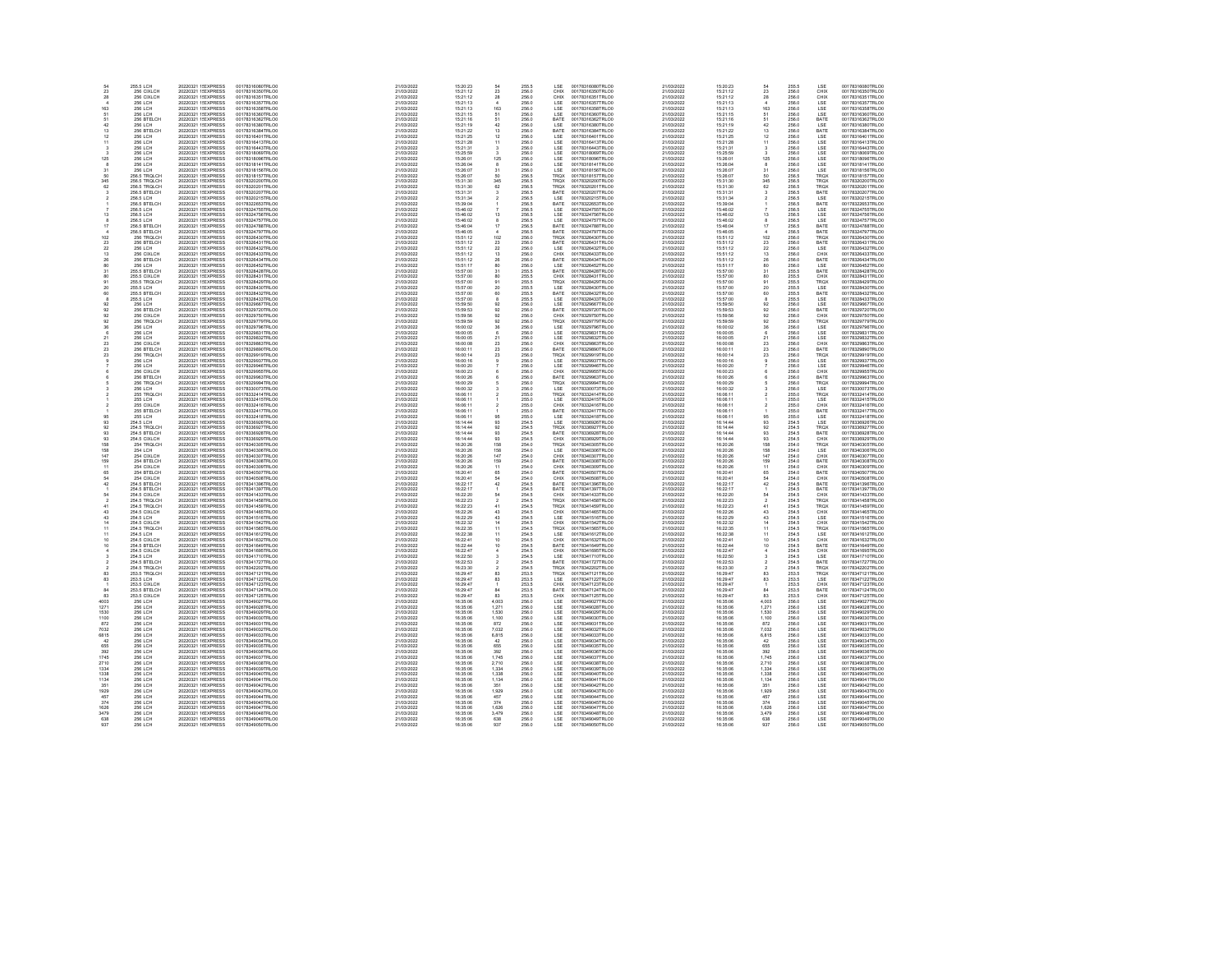| $\mathbf{23}$   | 255.5 LCH<br>256 CIXLCH          | 20220321 1! EXPRESS<br>20220321 1! EXPRESS | 00178316080TRLO0<br>00178316350TRLO0 | 21/03/2022<br>21/03/2022 | 15:20:23<br>15:21:12 | 23                    | 255.5<br>256.0          | LSE<br>CHIX                     | 00178316080TRLCO<br>00178316350TRLO0 | 21/03/2022<br>21/03/2022 | 15:20:23<br>15:21:12 | 54<br>$\mathbf{^{23}}$                        | 255.5<br>256.0          | LSE<br>CHIX         | 00178316080TRLO0<br>00178316350TRLO0 |
|-----------------|----------------------------------|--------------------------------------------|--------------------------------------|--------------------------|----------------------|-----------------------|-------------------------|---------------------------------|--------------------------------------|--------------------------|----------------------|-----------------------------------------------|-------------------------|---------------------|--------------------------------------|
| 28              | 256 CIXLCH                       | 20220321 1! EXPRESS                        | 00178316351TRLOO                     | 21/03/2022               | 15:21:12             | 28                    | 256.0                   | CHIX                            | 00178316351TRLO0                     | 21/03/2022               | 15:21:12             | 28                                            | 256.0                   | CHIX                | 00178316351TRLO0                     |
|                 | 256 LCH                          | 20220321 1! EXPRESS                        | 00178316357TRLO0                     | 21/03/2022               | 15:21:13             |                       | 256.0                   | LSE                             | 00178316357TRLO0                     | 21/03/2022               | 15:21:13             |                                               | 256.0                   | LSE                 | 00178316357TRLO0                     |
| 163             | 256 LCH                          | 20220321 1/ EXPRESS                        | 00178316358TRLO0                     | 21/03/2022               | 15:21:13             | 163                   | 256.0                   | LSE                             | 00178316358TRLO0                     | 21/03/2022               | $15-21-13$           | 163                                           | 256.0                   | LSE.                | 00178316358TRLO0                     |
| 61<br>61        | <b>256 LCH</b><br>256 BTELCH     | 20220321 1! EXPRESS<br>20220321 1! EXPRESS | 00178316360TRLO0<br>00178316362TRLOO | 21/03/2022<br>21/03/2022 | 15:21:15<br>15:21:18 | 51<br>61              | 256.0<br>256.0<br>256.0 | LSE<br>BATE<br>LSE              | 00178316360TRLOD<br>00178316362TRLOD | 21/03/2022<br>21/03/2022 | 15:21:15<br>15:21:16 | $\begin{array}{l} 61 \\ 61 \\ 42 \end{array}$ | 256.0                   | LSE<br>BATE         | 00178316360TRLO0<br>00178316362TRLO0 |
| 42              | 256 LCH                          | 20220321 1! EXPRESS                        | 00178316380TRLO0                     | 21/03/2022               | 15:21:19             | 42                    |                         |                                 | 00178316380TRLO0                     | 21/03/2022               | 15:21:19             |                                               | 256.0<br>256.0          | LSE                 | 00178316380TRLO0                     |
| 13              | 256 BTELCH                       | 20220321 1! EXPRESS                        | 00178316384TRLO0                     | 21/03/2022               | 15:21:22             | 13                    | 256.0<br>256.0          | BATE<br>LSE                     | 00178316384TRLO0                     | 21/03/2022               | 15:21:22             | $\begin{array}{c} 13 \\ 12 \end{array}$       | 256.0<br>256.0          | BATE                | 00178316384TRLO0                     |
| 12              | 256 LCH<br>256 LCH               | 20220321 1! EXPRESS<br>20220321 1! EXPRESS | 00178316401TRLO0<br>00178316413TRLO0 | 21/03/2022<br>21/03/2022 | 15:21:25<br>15:21:28 | 12<br>11              |                         |                                 | 00178316401TRLO0<br>00178316413TRLO0 | 21/03/2022<br>21/03/2022 | 15:21:25<br>15:21:28 |                                               |                         | LSE                 | 00178316401TRLO0<br>00178316413TRLO0 |
| 11              | 256 LCH                          | 20220321 1! EXPRESS                        | 00178316443TRLO0                     | 21/03/2022               | 15:21:31             | $\mathcal{R}$         | 256.0<br>256.0<br>256.0 | LSE<br>LSE<br>LSE               | 00178316443TRLOC                     | 21/03/2022               | 15:21:31             | $\frac{11}{3}$                                | 256.0<br>256.0          | LSE<br>LSE          | 00178316443TRLO0                     |
|                 | <b>256 LCH</b>                   | 20220321 1! EXPRESS                        | 00178318069TRLO0                     | 21/03/2022               | 15:25:59             |                       |                         |                                 | 00178318069TRLO0                     | 21/03/2022               | 15:25:59             | $\mathcal{R}$                                 | 256.0                   | LSE                 | 00178318069TRLO0                     |
| 125             | 256 LCH                          | 20220321 1: EXPRESS<br>20220321 1: EXPRESS | 00178318096TRLO0                     | 21/03/2022               | 15:26:01             | 125                   | 256.0<br>256.0          | LSE<br>LSE                      | 00178318096TRLO0<br>00178318141TRLO0 | 21/03/2022               | 15:26:01             | 125                                           | 256.0<br>256.0          | LSE<br>LSE          | 00178318096TRLO0                     |
|                 | 256 LCH                          |                                            | 00178318141TRLO0                     | 21/03/2022               | 15:26:04             | 31                    |                         |                                 |                                      | 21/03/2022               | 15:26:04             | 8                                             |                         |                     | 00178318141TRLO0                     |
| 31<br>50        | 256 LCH<br>256.5 TROLCH          | 20220321 1! EXPRESS<br>20220321 1! EXPRESS | 00178318156TRLO0<br>00178318157TRLO0 | 21/03/2022<br>21/03/2022 | 15:26:07<br>15:26:07 | 50                    | 256.0<br>256.5          | LSE<br>TROX                     | 00178318156TRLO0<br>00178318157TRLO0 | 21/03/2022<br>21/03/2022 | 15:26:07<br>15:26:07 | $\begin{array}{c} 31 \\ 50 \end{array}$       | 256.0<br>256.5          | LSE<br>TROX         | 00178318156TRLO0<br>00178318157TRLO0 |
| 345             | 256.5 TROLCH                     | 20220321 1! EXPRESS                        | 00178320200TRLO0                     | 21/03/2022               | 15:31:30             | 345                   | 256.5                   | TRQX                            | 00178320200TRLO0                     | 21/03/2022               | 15:31:30             | 345                                           | 256.5                   | TROX                | 00178320200TRLO0                     |
| 62              | 256.5 TRQLCH<br>256.5 BTELCH     | 20220321 1! EXPRESS<br>20220321 1! EXPRESS | 00178320201TRLC0<br>00178320207TRLC0 | 21/03/2022<br>21/03/2022 | 15:31:30             | 62                    | 256.5<br>256.5          | TRQX<br>BATE                    | 00178320201TRLO0<br>00178320207TRLO0 | 21/03/2022               | 15:31:30<br>15:31:31 | 62                                            | 256.5<br>256.5          | TRQX<br>BATE        | 00178320201TRLO0<br>00178320207TRLO0 |
|                 |                                  | 20220321 1! EXPRESS                        | 00178320215TRLO0                     |                          | 15:31:31<br>15:31:34 |                       |                         |                                 | 00178320215TRLOO                     | 21/03/2022               |                      |                                               |                         |                     | 00178320215TRLO0                     |
|                 | 256.5 LCH<br>256.5 BTELCH        | 20220321 1! EXPRESS                        | 00178322653TRLO0                     | 21/03/2022<br>21/03/2022 | 15:39:04             |                       | 256.5<br>256.5          | LSE<br>BATE                     | 00178322653TRLO0                     | 21/03/2022<br>21/03/2022 | 15:31:34<br>15:39:04 |                                               | 256.5<br>256.5          | LSE<br>BATE         | 00178322653TRLO0                     |
|                 | 256.5 LCH                        | 20220321 1! EXPRESS                        | 00178324755TRLOO                     | 21/03/2022               | 15:46:02             |                       | 256.5                   | LSE                             | 00178324755TRLO0                     | 21/03/2022               | 15:46:02             |                                               | 256.5                   | LSE                 | 00178324755TRLO0                     |
| 13              | 256.5 LCH<br>256.5 LCH           | 20220321 1! EXPRESS<br>20220321 1! EXPRESS | 00178324756TRLO0<br>00178324757TRLO0 | 21/03/2022<br>21/03/2022 | 15:46:02<br>15:46:02 | 13                    | 256.5<br>256.5          | LSE<br>LSE                      | 00178324756TRLO0<br>00178324757TRLO0 | 21/03/2022<br>21/03/2022 | 15:46:02<br>15:46:02 | 13                                            | 256.5<br>256.5          | LSE<br>LSE          | 00178324756TRLO0<br>00178324757TRLO0 |
|                 |                                  |                                            |                                      |                          |                      |                       |                         |                                 |                                      |                          |                      |                                               |                         |                     |                                      |
| 17              | 256.5 BTELCH<br>256.5 BTELCH     | 20220321 1! EXPRESS<br>20220321 1! EXPRESS | 00178324788TRLC0<br>00178324797TRLC0 | 21/03/2022<br>21/03/2022 | 15:46:04<br>15:46:05 | 17                    | 256.5<br>256.5          | BATE<br>BATE                    | 00178324788TRLOO<br>00178324797TRLOO | 21/03/2022<br>21/03/2022 | 15:46:04<br>15:46:05 | 17                                            | 256.5<br>256.5          | BATE<br>BATE        | 00178324788TRLO0<br>00178324797TRLO0 |
| 102             | 256 TRQLCI                       | 20220321 1:EXPRESS                         | 00178326430TRLOO                     | 21/03/2022               | 15:51:12             | 102                   | 256.0                   | TRQX                            | 00178326430TRLOO                     | 21/03/2022               | 15:51:12             | 102                                           | 256.0                   | TRQX                | 00178326430TRLO0                     |
| $\frac{23}{22}$ | 256 BTELCH<br>256 LCH            | 20220321 1! EXPRESS                        | 00178326431TRLOO                     | 21/03/2022               | 15-51-12             | $\frac{23}{22}$       | 256.0<br>256.0          | BATE<br>LSE                     | 00178326431TRLOO                     | 21/03/2022               | 15:51:12             | $\frac{23}{22}$                               | 256.0<br>256.0          | <b>BATE</b>         | 00178326431TRLO0                     |
|                 |                                  | 20220321 1:EXPRESS                         | 00178326432TRLO0                     | 21/03/2022               | 15:51:12<br>15:51:12 |                       |                         |                                 | 00178326432TRLOO                     | 21/03/2022<br>21/03/2022 | 15:51:12<br>15:51:12 |                                               |                         |                     | 00178326432TRLO0                     |
| $\frac{13}{26}$ | 256 CIXLCH<br>256 BTELCH         | 20220321 1! EXPRESS<br>20220321 1! EXPRESS | 00178326433TRLO0<br>00178326434TRLO0 | 21/03/2022<br>21/03/2022 | 15:51:12             | $\frac{13}{26}$       | 256.0<br>256.0          | CHIX<br>BATE                    | 00178326433TRLO0<br>00178326434TRLO0 | 21/03/2022               | 15:51:12             | $\frac{13}{26}$                               | 256.0<br>256.0          | CHIX<br>BATE        | 00178326433TRLO0<br>00178326434TRLO0 |
| 80              | 256 LCH                          | 20220321 1! EXPRESS                        | 00178326452TRLO0                     | 21/03/2022               | 15:51:17             | 80                    | 256.0                   | $_{\tt LSE}$                    | 00178326452TRLO0                     | 21/03/2022               | 15:51:17             | 80                                            | 256.0                   | LSE                 | 00178326452TRLO0                     |
| 31              | 255.5 BTELCH                     | 20220321 1/ EXPRESS                        | 00178328428TRLO0                     | 21/03/2022               | 15:57:00             | 31                    | 255.5<br>255.5          | <b>RATE</b>                     | 00178328428TRLO0                     | 21/03/2022               | 15:57:00             | $\substack{31\\80}$                           | 255.5<br>255.5          | <b>BATE</b>         | 00178328428TRLO0                     |
| ö.              | 255.5 CIXLCH                     | 20220321 1: EXPRESS<br>20220321 1/ EXPRESS | 00178328431TRLOO<br>00178328429TRLO0 | 21/03/2022<br>21/03/2022 | 15:57:00<br>15:57:00 |                       |                         | CHIX                            | 00178328431TRLO0<br>00178328429TRLO0 | 21/03/2022<br>21/03/2022 | 15:57:00<br>15:57:00 |                                               |                         | CHIX                | 00178328431TRLO0<br>00178328429TRLO0 |
| $\frac{91}{20}$ | 255.5 TROLCH<br>255.5 LCH        | 20220321 1! EXPRESS                        | 00178328430TRLO0                     | 21/03/2022               | 15:57:00             | 91<br>$\overline{20}$ | 255.5<br>255.5          | TRQX<br>LSE                     | 00178328430TRLO0                     | 21/03/2022               | 15:57:00             | $\frac{91}{20}$                               | 255.5<br>255.5          | TROX<br>LSE         | 00178328430TRLO0                     |
| 60              | 255.5 BTELCH                     | 20220321 1! EXPRESS                        | 00178328432TRLO0                     | 21/03/2022               | 15:57:00             | 60                    | 255.5                   | BATE                            | 00178328432TRLO0                     | 21/03/2022               | 15:57:00             | 60                                            |                         | BATE                | 00178328432TRLO0                     |
|                 | 255.5 LCH                        | 20220321 1! EXPRESS                        | 00178328433TRLO0                     | 21/03/2022               | 15:57:00             |                       | 255.5<br>256.0          |                                 | 00178328433TRLO0                     | 21/03/2022               | 15:57:00             | 8                                             | 255.5<br>255.5<br>256.0 | LSE                 | 00178328433TRLO0                     |
| 92              | 256 LCH                          | 20220321 1! EXPRESS                        | 00178329667TRLO0                     | 21/03/2022               | 15:59:50             | 92                    |                         | LSE<br>LSE                      | 00178329667TRLO0                     | 21/03/2022               | 15:59:50             | 92                                            |                         | LSE                 | 00178329667TRLO0                     |
| $\alpha$<br>ö2  | 256 BTELCH<br>256 CIXLCH         | 20220321 1/ EXPRESS<br>20220321 1: EXPRESS | 00178329720TRLO0<br>00178329750TRLO0 | 21/03/2022<br>21/03/2022 | 15:59:53<br>15:59:56 | 92<br>$\frac{1}{92}$  | 256.0<br>256.0          | <b>RATE</b><br>CHIX             | 00178329720TRLO0<br>00178329750TRLO0 | 21/03/2022<br>21/03/2022 | 15:59:53<br>15:59:56 | 92<br>92                                      | 256.0<br>256.0          | <b>BATE</b><br>CHIX | 00178329720TRLO0<br>00178329750TRLO0 |
| 92              | 256 TROLCH                       | 20220321 1! EXPRESS                        | 00178329779TRLO0                     | 21/03/2022               | 15:59:59             | 92                    |                         |                                 | 00178329779TRLO0                     | 21/03/2022               | 15:59:59             | $92\,$                                        |                         | TRQX                | 00178329779TRLO0                     |
| 36              | 256 LCH                          | 20220321 1(EXPRESS                         | 00178329796TRLO0                     | 21/03/2022               | 16:00:02             | 36                    | 256.0<br>256.0          | TRQX<br>LSE                     | 00178329796TRLO0                     | 21/03/2022               | 16:00:02             |                                               | 256.0<br>256.0          |                     | 00178329796TRLO0                     |
|                 | 256 LCH                          | 20220321 1(EXPRESS                         | 00178329831TRLO0                     | 21/03/2022               | 16:00:05             |                       | 256.0                   | LSE<br>LSE                      | 00178329831TRLOC                     | 21/03/2022               | 16:00:05             | $\frac{36}{6}$                                | 256.0                   | LSE<br>LSE          | 00178329831TRLO0                     |
| 21              | 256 LCH                          | 20220321 1(EXPRESS                         | 00178329832TRLO0                     | 21/03/2022               | 16:00:05             | 21                    | 256.0                   |                                 | 00178329832TRLO0                     | 21/03/2022               | 16:00:05             | 21                                            |                         | LSE                 | 00178329832TRLO0                     |
| $\overline{23}$ | 256 CIXLCH                       | 20220321 16EXPRESS                         | 00178329863TRLOO                     | 21/03/2022               | 16:00:08             | $\frac{1}{23}$        | 256.0                   | CHIX                            | 00178329863TRLOO                     | 21/03/2022               | 16:00:08             | $\overline{23}$                               | 256.0                   | CHIX                | 00178329863TRLOO                     |
| 23<br>23        | 256 BTELCH<br>256 TROLCH         | 20220321 1(EXPRESS<br>20220321 1(EXPRESS   | 00178329890TRLO0<br>00178329919TRLO0 | 21/03/2022<br>21/03/2022 | 16:00:11<br>16:00:14 | 23<br>23              | 256.0<br>256.0          | BATE<br>TRQX                    | 00178329890TRLO0<br>00178329919TRLO0 | 21/03/2022<br>21/03/2022 | 16:00:11<br>16:00:14 | 23<br>$\mathbf{23}$                           | 256.0<br>256.0          | <b>BATE</b><br>TROX | 00178329890TRLO0<br>00178329919TRLO0 |
|                 | 256 LCH                          | 20220321 1(EXPRESS                         | 00178329937TRLO0                     | 21/03/2022               | 16:00:16             |                       |                         |                                 | 00178329937TRLOO                     | 21/03/2022               | 16:00:16             |                                               |                         |                     | 00178329937TRLO0                     |
|                 | 256 LCH                          | 20220321 1(EXPRESS                         | 00178329946TRLO0                     | 21/03/2022               | 16:00:20             |                       | 256.0<br>256.0          | LSE<br>LSE                      | 00178329946TRLO0                     | 21/03/2022               | 16:00:20             |                                               | 256.0<br>256.0          | LSE<br>LSE          | 00178329946TRLO0                     |
|                 | 256 CIXLCH                       | 20220321 1(EXPRESS                         | 00178329955TRLO0                     | 21/03/2022               | 16:00:23             |                       | 256.0                   | CHIX                            | 00178329955TRLO0                     | 21/03/2022               | 16:00:23             |                                               | 256.0<br>256.0          | CHIX                | 00178329955TRLO0                     |
|                 | 256 BTELCH                       | 20220321 1(EXPRESS                         | 00178329963TRLO0                     | 21/03/2022               | 16:00:26             |                       | 256.0                   | BATE                            | 00178329963TRLO0                     | 21/03/2022               | 16:00:26             |                                               |                         | BATE                | 00178329963TRLO0                     |
|                 | 256 TROLCH<br>256 LCH            | 20220321 16EXPRESS<br>20220321 1(EXPRESS   | 00178329994TRLO0<br>00178330073TRLO0 | 21/03/2022<br>21/03/2022 | 16:00:29<br>16:00:32 |                       | 256.0<br>256.0<br>255.0 | TRQX<br>LSE                     | 00178329994TRLOO<br>00178330073TRLO0 | 21/03/2022<br>21/03/2022 | 16:00:29<br>16:00:32 |                                               | 256.0<br>256.0          | TRQX<br>LSE.        | 00178329994TRLO0<br>00178330073TRLO0 |
|                 | 255 TROLCH                       | 20220321 1(EXPRESS                         | 00178332414TRLO0                     | 21/03/2022               | 16:06:11             |                       |                         | TROX                            | 00178332414TRLO0                     | 21/03/2022               | 16:06:11             |                                               | 255.0                   | TROX                | 00178332414TRLO0                     |
|                 | <b>255 LCH</b>                   | 20220321 1(EXPRESS                         | 00178332415TRLOO                     | 21/03/2022               | 16:06:11             |                       | 255.0<br>255.0          | LSE<br>CHIX                     | 00178332415TRLOO                     | 21/03/2022               | 16:06:11             |                                               | 255.0<br>255.0          | LSE                 | 00178332415TRLO0                     |
|                 | 255 CIXLCH                       | 20220321 1(EXPRESS                         | 00178332416TRLOO                     | 21/03/2022               | 16:06:11             |                       |                         |                                 | 00178332416TRLO0                     | 21/03/2022               | 16:06:11             |                                               |                         | CHIX                | 00178332416TRLO0                     |
|                 | 255 BTELCH                       | 20220321 1(EXPRESS                         | 00178332417TRLO0                     | 21/03/2022               | 16:06:11             |                       | 255.0<br>255.0          | BATE<br><b>ISE</b>              | 00178332417TRLO0                     | 21/03/2022               | 16:06:11             | 95                                            | 255.0                   | BATE                | 00178332417TRLO0                     |
| 95<br>93        | 255 LCH<br>254.5 LCH             | 20220321 1(EXPRESS<br>20220321 16EXPRESS   | 00178332418TRLO0<br>00178336926TRLO0 | 21/03/2022<br>21/03/2022 | 16:06:11<br>16:14:44 | 96<br>93              |                         | LSE                             | 00178332418TRLO0<br>00178336926TRLOO | 21/03/2022<br>21/03/2022 | 16:06:11<br>16:14:44 | 93                                            |                         | LSE.<br>LSE         | 00178332418TRLO0<br>00178336926TRLO0 |
| $\alpha$        | 254 S TROLCH                     | 20220321 1(EXPRESS                         | 00178336927TRLO0                     | 21/03/2022               | 16:14:44             | 92                    |                         | TROX                            | 00178336927TRLOD                     | 21/03/2022               | 16:14:44             | 92                                            | 254.5<br>254.5          | TROX                | 00178336927TRLO0                     |
| 93              | 254.5 BTELCH                     | 20220321 1(EXPRESS                         | 00178336928TRLO0                     | 21/03/2022               | 16:14:44             | 93                    | 254.5<br>254.5<br>254.5 | BATE                            | 00178336928TRLO0                     | 21/03/2022               | 16:14:44             | 93                                            | 254.5                   | BATE                | 00178336928TRLO0                     |
| 93              | 254.5 CIXLCH<br>254 TRQLCH       | 20220321 1(EXPRESS                         | 00178336929TRLOO                     | 21/03/2022               | 16:14:44             | $\frac{93}{158}$      | 254.5<br>254.0          | CHIX<br>TRQX                    | 00178336929TRLO0                     | 21/03/2022               | 16:14:44             | $\frac{93}{158}$                              | 254.5<br>254.0          | CHIX<br>TRQX        | 00178336929TRLO0                     |
| 158             |                                  | 20220321 1(EXPRESS                         | 00178340305TRLO0                     | 21/03/2022               | 16:20:26             |                       |                         |                                 | 00178340305TRLO0                     | 21/03/2022               | 16:20:26             |                                               |                         |                     | 00178340305TRLO0                     |
| 158<br>147      | 254 LCH<br>254 CIXI CH           | 20220321 16EXPRESS<br>20220321 1(EXPRESS   | 00178340306TRLO0<br>00178340307TRLO0 | 21/03/2022<br>21/03/2022 | 16:20:26<br>16:20:26 | 158<br>147            |                         | LSE<br>CHIX                     | 00178340306TRLO0<br>00178340307TRLO0 | 21/03/2022<br>21/03/2022 | 16:20:26<br>16:20:26 | 158<br>147                                    | 254.0<br>254.0          | LSE<br>CHIX         | 00178340306TRLO0<br>00178340307TRLO0 |
| 159             | 254 BTELCH                       | 20220321 16EXPRESS                         | 00178340308TRLO0                     | 21/03/2022               | 16:20:26             | 159                   | 254.0<br>254.0<br>254.0 | BATE                            | 00178340308TRLO0                     | 21/03/2022               | 16:20:26             | 159                                           | 254.0                   | BATE                | 00178340308TRLO0                     |
| 11              | 254 CIXLCH                       | 20220321 1(EXPRESS<br>20220321 1(EXPRESS   | 00178340309TRLO0<br>00178340507TRLO0 | 21/03/2022               | 16:20:26             | 11                    | 254.0<br>254.0          | CHIX<br>BATE                    | 00178340309TRLO0<br>00178340507TRLO0 | 21/03/2022               | 16:20:26             | $^{11}_{65}$                                  | 254.0<br>254.0          | CHIX<br>BATE        | 00178340309TRLO0<br>00178340507TRLO0 |
| 65              | 254 BTELCH                       |                                            |                                      | 21/03/2022               | 16:20:41             | 65                    |                         |                                 |                                      | 21/03/2022               | 16:20:41             |                                               |                         |                     |                                      |
| 42              | 254 CIXLCH<br>254.5 BTELCH       | 20220321 1(EXPRESS<br>20220321 1(EXPRESS   | 00178340508TRLC0<br>00178341396TRLC0 | 21/03/2022<br>21/03/2022 | 16:20:41<br>16:22:17 | $\frac{64}{42}$       | 254.0<br>254.5          | CHIX<br>BATE                    | 00178340508TRLO0<br>00178341396TRLOO | 21/03/2022<br>21/03/2022 | 16:20:41<br>16:22:17 | $\frac{64}{42}$                               | 254.0<br>254.5          | CHIX<br>BATE        | 00178340508TRLO0<br>00178341396TRLO0 |
|                 | 254.5 BTELCH                     | 20220321 16EXPRESS                         | 00178341397TRLO0                     | 21/03/2022               | 16:22:17             |                       | 254.5                   | BATE                            | 00178341397TRLO0                     | 21/03/2022               | 16:22:17             |                                               | 254.5                   | BATE                | 00178341397TRLO0                     |
| $\frac{64}{2}$  | 254.5 CIXLCH<br>254.5 TRQLCH     | 20220321 11 EXPRESS<br>20220321 11 EXPRESS | 00178341433TRLO0<br>00178341458TRLO0 | 21/03/2022<br>21/03/2022 | 16:22:20             | $\frac{64}{2}$        | 254.5<br>254.5          | CHIX<br>TRQX                    | 00178341433TRLO0<br>00178341458TRLO0 | 21/03/2022               | 16:22:20<br>16:22:23 | $\frac{64}{2}$                                | 254.5<br>254.5          | CHIX<br>TRQX        | 00178341433TRLO0<br>00178341458TRLO0 |
|                 |                                  |                                            |                                      |                          | 16:22:23             |                       |                         |                                 |                                      | 21/03/2022               |                      |                                               |                         |                     |                                      |
| 43              | 254.5 TROLCH<br>254.5 CIXLCH     | 20220321 1(EXPRESS<br>20220321 1(EXPRESS   | 00178341459TRLO0<br>00178341465TRLO0 | 21/03/2022<br>21/03/2022 | 16:22:23<br>16:22:26 | $\frac{41}{43}$       | 254.5<br>254.5          | TRQX<br>CHIX                    | 00178341459TRLO0<br>00178341465TRLO0 | 21/03/2022<br>21/03/2022 | 16:22:23<br>16:22:26 | $\frac{41}{43}$                               | 254.5<br>254.5          | TROX<br>CHIX        | 00178341459TRLO0<br>00178341465TRLO0 |
|                 | 254.5 LCH                        | 20220321 1(EXPRESS                         | 00178341516TRLO0                     | 21/03/2022               | 16:22:29             | 43                    | 254.5                   | LSE                             | 00178341516TRLOD                     | 21/03/2022               | 16:22:29             | 43                                            | 254.5                   | LSE                 | 00178341516TRLO0                     |
| 14              |                                  | 20220321 1(EXPRESS                         | 00178341542TRLO0                     | 21/03/2022               | 16:22:32             | 14                    |                         | CHIX                            | 00178341542TRLO0                     | 21/03/2022               | 16:22:32             | 14                                            |                         | CHIX                | 00178341542TRLO0                     |
| 11              | 254.5 CIXLCH<br>254.5 TRQLCH     | 20220321 16EXPRESS                         | 00178341565TRLO0                     | 21/03/2022               | 16:22:35             | 11                    | 254.5<br>254.5          | TRQX                            | 00178341565TRLO0                     | 21/03/2022               | 16:22:35             | ä                                             | 254.5<br>254.5          | TROX                | 00178341565TRLO0                     |
|                 | 254.5 LCH<br>254.5 CIXLCH        | 20220321 11 EXPRESS<br>20220321 11 EXPRESS | 00178341612TRLO0<br>00178341632TRLO0 | 21/03/2022<br>21/03/2022 | 16:22:38<br>16:22:41 | 11<br>10              | 254.5<br>254.5          | LSE<br>CHIX                     | 00178341612TRLO0<br>00178341632TRLO0 | 21/03/2022<br>21/03/2022 | 16:22:38<br>16:22:41 | $\frac{11}{10}$                               | 254.5<br>254.5          | LSE<br>CHIX         | 00178341612TRLO0<br>00178341632TRLO0 |
| 10              | 254.5 BTELCH                     | 20220321 16EXPRESS                         | 00178341649TRLO0                     | 21/03/2022               | 16:22:44             | 10                    | 254.5                   | BATE                            | 00178341649TRLOO                     | 21/03/2022               | 16:22:44             | 10                                            | 254.5                   | BATE                | 00178341649TRLO0                     |
|                 | 254.5 CIXLCH                     | 20220321 1(EXPRESS                         | 00178341695TRLO0                     | 21/03/2022               | 16:22:47             |                       |                         |                                 | 00178341695TRLO0                     | 21/03/2022               | 16:22:47             |                                               |                         | CHIX                | 00178341695TRLO0                     |
|                 | 254.5 LCH                        | 20220321 11 EXPRESS                        | 00178341710TRLO0                     | 21/03/2022               | 16:22:50             |                       | 254.5<br>254.5          | CHIX<br>LSE                     | 00178341710TRLOO                     | 21/03/2022               | 16:22:50             |                                               | 254.5<br>254.5          | LSE                 | 00178341710TRLO0                     |
|                 | 254.5 BTELCH<br>254.5 TRQLCH     | 20220321 1(EXPRESS                         | 00178341727TRLC0<br>00178342202TRLC0 | 21/03/2022               | 16:22:53<br>16:23:30 |                       | 254.5<br>254.5          | BATE<br>TRQX                    | 00178341727TRLOD<br>00178342202TRLO0 | 21/03/2022<br>21/03/2022 | 16:22:53<br>16:23:30 |                                               | 254.5<br>254.5          | BATE<br>TRQX        | 00178341727TRLO0                     |
| 83              | 253.5 TROLCH                     | 20220321 11 EXPRESS<br>20220321 1(EXPRESS  | 00178347121TRLO0                     | 21/03/2022<br>21/03/2022 | 16:29:47             | 83                    | 253.5                   | TRQX                            | 00178347121TRLO0                     | 21/03/2022               | 16:29:47             | 83                                            | 253.5                   | TRQX                | 00178342202TRLO0<br>00178347121TRLO0 |
| 83              | 253.5 LCH                        | 20220321 1(EXPRESS                         | 00178347122TRLO0                     | 21/03/2022               | 16:29:47             | R3                    | 253.5                   | <b>ISE</b>                      | 00178347122TRLO0                     | 21/03/2022               | 16:29:47             | 83                                            | 253.5                   | LSE.                | 00178347122TRLO0                     |
|                 | 253.5 CIXLCH                     | 20220321 11 EXPRESS                        | 00178347123TRLO0                     | 21/03/2022               | 16:29:47             |                       | 253.5                   | CHIX                            | 00178347123TRLOO                     | 21/03/2022               | 16:29:47             |                                               | 253.5                   | CHIX                | 00178347123TRLO0                     |
| R4              | 253.5 BTFLCH                     | 20220321 1(EXPRESS                         | 00178347124TRLO0                     | 21/03/2022               | 16:29:47             | RA                    | 253.5<br>253.5          | BATE<br>CHIX                    | 00178347124TRLO0                     | 21/03/2022               | 16:29:47             | $^{84}_{83}$                                  | 253.5<br>253.5          | <b>RATE</b>         | 00178347124TRLO0                     |
| $\overline{83}$ | 253.5 CIXLCH                     | 20220321 11 EXPRESS                        | 00178347125TRLO0                     | 21/03/2022               | 16:29:47             | $\overline{83}$       |                         |                                 | 00178347125TRLO0                     | 21/03/2022               | 16:29:47             |                                               |                         | CHIX                | 00178347125TRLO0                     |
| 4003<br>1271    | 256 LCH<br>256 LCH               | 20220321 1(EXPRESS<br>20220321 1(EXPRESS   | 00178349027TRLO0<br>00178349028TRLOO | 21/03/2022<br>21/03/2022 | 16:35:06<br>16:35:06 | 4,003<br>1.271        | 256.0<br>256.0          |                                 | 00178349027TRLO0<br>00178349028TRLO0 | 21/03/2022<br>21/03/2022 | 16:35:06<br>16:35:06 | 4,003<br>1.271                                | 256.0<br>256.0          | LSE<br>LSE          | 00178349027TRLO0<br>00178349028TRLO0 |
| 1530            | 256 LCH                          | 20220321 1(EXPRESS                         | 00178349029TRLO0                     | 21/03/2022               | 16:35:06             | 1,530                 | 256.0                   |                                 | 00178349029TRLO0                     | 21/03/2022               | 16:35:06             | 1,530                                         | 256.0                   |                     | 00178349029TRLO0                     |
| 1100            | 256 LCH                          | 20220321 1(EXPRESS                         | 00178349030TRLO0                     | 21/03/2022               | 16:35:06             | 1.100                 | 256.0<br>256.0          | LSE<br>LSE<br>LSE<br>LSE<br>LSE | 00178349030TRLO0                     | 21/03/2022               | 16:35:06             | 1,100                                         | 256.0<br>256.0          | LSE<br>LSE<br>LSE   | 00178349030TRLO0                     |
| 872             | 256 LCH                          | 20220321 11 EXPRESS                        | 00178349031TRLO0                     | 21/03/2022               | 16:35:06             | 872                   |                         |                                 | 00178349031TRLOO                     | 21/03/2022               | 16:35:06             | 872                                           |                         |                     | 00178349031TRLO0                     |
| 7032            | 256 LCH                          | 20220321 1(EXPRESS                         | 00178349032TRLO0                     | 21/03/2022               | 16:35:06             | 7.032<br>6,815        | 256.0<br>256.0<br>256.0 |                                 | 00178349032TRLO0                     | 21/03/2022               | 16:35:08             | 7.032                                         | 256.0<br>256.0          | LSE<br>LSE<br>LSE   | 00178349032TRLO0                     |
| 6815<br>42      | <b>256 LCH</b><br>256 LCH        | 20220321 1(EXPRESS<br>20220321 1(EXPRESS   | 00178349033TRLO0<br>00178349034TRLO0 | 21/03/2022<br>21/03/2022 | 16:35:06<br>16:35:06 | $42\,$                |                         |                                 | 00178349033TRLO0<br>00178349034TRLOC | 21/03/2022<br>21/03/2022 | 16:35:06<br>16:35:06 | 6.815<br>42                                   |                         |                     | 00178349033TRLO0<br>00178349034TRLO0 |
| 655             | <b>256 LCH</b>                   | 20220321 1(EXPRESS                         | 00178349035TRLO0                     | 21/03/2022               | 16:35:06             | 655                   | 256.0                   | LSE<br>LSE<br>LSE<br>LSE<br>LSE | 00178349035TRLO0                     | 21/03/2022               | 16:35:06             | 655                                           | 256.0<br>256.0          | LSE                 | 00178349035TRLO0                     |
| 392             | 256 LCH                          | 20220321 1(EXPRESS                         | 00178349036TRLO0                     | 21/03/2022               | 16:35:06             | $392$<br>$1.745$      | 256.0                   |                                 | 00178349036TRLO0                     | 21/03/2022               | 16:35:06             | 392                                           | 256.0                   | LSE<br>LSE          | 00178349036TRLO0                     |
| 1745            | 256 LCH                          | 20220321 1(EXPRESS                         | 00178349037TRLO0                     | 21/03/2022               | 16:35:06             |                       | 256.0                   |                                 | 00178349037TRLO0                     | 21/03/2022               | 16:35:06             | 1 745                                         | 256.0                   |                     | 00178349037TRLO0                     |
| 2710<br>1334    | 256 LCH                          | 20220321 16EXPRESS<br>20220321 1(EXPRESS   | 00178349038TRLO0<br>00178349039TRLO0 | 21/03/2022               | 16:35:06             | 2,710                 | 256.0<br>256.0<br>256.0 | LSE<br>LSE<br>LSE               | 00178349038TRLO0                     | 21/03/2022               | 16:35:06<br>16:35:06 | 2,710                                         | 256.0<br>256.0<br>256.0 | LSE<br>LSE<br>LSE   | 00178349038TRLO0<br>00178349039TRLO0 |
| 1338            | <b>256 LCH</b><br><b>256 LCH</b> | 20220321 1(EXPRESS                         | 00178349040TRLO0                     | 21/03/2022<br>21/03/2022 | 16:35:06<br>16:35:06 | 1.334<br>1.338        |                         |                                 | 00178349039TRLOO<br>00178349040TRLOD | 21/03/2022<br>21/03/2022 | 16:35:06             | 1.334<br>1.338                                |                         |                     | 00178349040TRLO0                     |
| 1134            | <b>256 LCH</b>                   | 20220321 1(EXPRESS                         | 00178349041TRLO0                     | 21/03/2022               | 16:35:06             | 1.134                 | 256.0                   |                                 | 00178349041TRLOC                     | 21/03/2022               | 16:35:06             | 1.134                                         | 256.0                   |                     |                                      |
| 351             | 256 LCH                          | 20220321 1(EXPRESS                         | 00178349042TRLO0                     | 21/03/2022               | 16:35:06             | 351                   | 256.0                   | LSE<br>LSE                      | 00178349042TRLO0                     | 21/03/2022               | 16:35:06             | 351                                           | 256.0                   | LSE<br>LSE          | 00178349041TRLO0<br>00178349042TRLO0 |
| 1929            | 256 LCH                          | 20220321 1(EXPRESS                         | 00178349043TRLO0                     | 21/03/2022               | 16:35:06             | 1,929                 | 256.0<br>256.0<br>256.0 | LSE<br>LSE<br>LSE               | 00178349043TRLO0                     | 21/03/2022               | 16:35:06             | 1,929                                         | 256.0                   | LSE<br>LSE          | 00178349043TRLO0                     |
| 457             | 258 LCH                          | 20220321 1(EXPRESS                         | 00178349044TRLO0                     | 21/03/2022               | 16:35:06             | 457                   |                         |                                 | 00178349044TRLO0                     | 21/03/2022               | 16:35:06             | 457                                           | 256.0<br>256.0          | LSE                 | 00178349044TRLO0                     |
| 374<br>1626     | 256 LCH<br>256 LCH               | 20220321 16EXPRESS<br>20220321 1(EXPRESS   | 00178349045TRLO0<br>00178349047TRLO0 | 21/03/2022<br>21/03/2022 | 16:35:06<br>16:35:06 | 374<br>1.626          | 256.0                   | LSE                             | 00178349045TRLO0<br>00178349047TRLO0 | 21/03/2022<br>21/03/2022 | 16:35:06<br>16:35:08 | 374<br>1.626                                  | 256.0                   | LSE                 | 00178349045TRLO0<br>00178349047TRLO0 |
| 3479            | <b>256 LCH</b>                   | 20220321 1(EXPRESS                         | 00178349048TRLO0                     | 21/03/2022               | 16:35:06             | 3.479                 | 256.0                   | LSE                             | 00178349048TRLO0                     | 21/03/2022               | 16:35:06             | 3.479                                         | 256.0                   | LSE                 | 00178349048TRLO0                     |
| 638             | 256 LCH                          | 20220321 1(EXPRESS                         | 00178349049TRLO0                     | 21/03/2022               | 16:35:06             |                       | 256.0                   | LSE                             | 00178349049TRLO0                     | 21/03/2022               | 16:35:06             | 638                                           | 256.0                   | LSE                 | 00178349049TRLO0                     |
| 937             | 256 LCH                          | 20220321 1(EXPRESS                         | 00178349050TRLO0                     | 21/03/2022               | 16:35:06             | 937                   | 256.0                   | LSE                             | 00178349050TRLOO                     | 21/03/2022               | 16:35:06             | 937                                           | 256.0                   | LSE                 | 00178349050TRLO0                     |